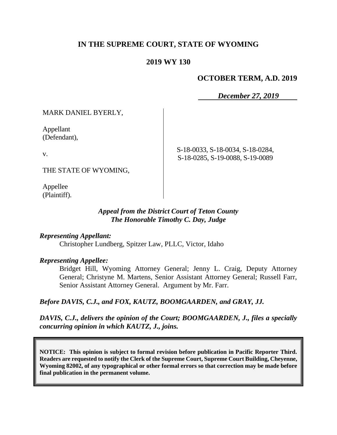### **IN THE SUPREME COURT, STATE OF WYOMING**

#### **2019 WY 130**

#### **OCTOBER TERM, A.D. 2019**

*December 27, 2019*

MARK DANIEL BYERLY,

Appellant (Defendant),

v.

THE STATE OF WYOMING,

Appellee (Plaintiff). S-18-0033, S-18-0034, S-18-0284, S-18-0285, S-19-0088, S-19-0089

*Appeal from the District Court of Teton County The Honorable Timothy C. Day, Judge* 

#### *Representing Appellant:*

Christopher Lundberg, Spitzer Law, PLLC, Victor, Idaho

*Representing Appellee:*

Bridget Hill, Wyoming Attorney General; Jenny L. Craig, Deputy Attorney General; Christyne M. Martens, Senior Assistant Attorney General; Russell Farr, Senior Assistant Attorney General. Argument by Mr. Farr.

*Before DAVIS, C.J., and FOX, KAUTZ, BOOMGAARDEN, and GRAY, JJ.*

*DAVIS, C.J., delivers the opinion of the Court; BOOMGAARDEN, J., files a specially concurring opinion in which KAUTZ, J., joins.*

**NOTICE: This opinion is subject to formal revision before publication in Pacific Reporter Third. Readers are requested to notify the Clerk of the Supreme Court, Supreme Court Building, Cheyenne, Wyoming 82002, of any typographical or other formal errors so that correction may be made before final publication in the permanent volume.**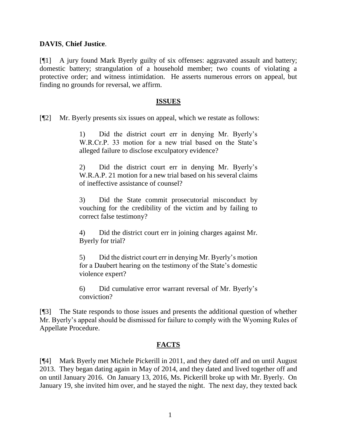#### **DAVIS**, **Chief Justice**.

[¶1] A jury found Mark Byerly guilty of six offenses: aggravated assault and battery; domestic battery; strangulation of a household member; two counts of violating a protective order; and witness intimidation. He asserts numerous errors on appeal, but finding no grounds for reversal, we affirm.

#### **ISSUES**

[¶2] Mr. Byerly presents six issues on appeal, which we restate as follows:

1) Did the district court err in denying Mr. Byerly's W.R.Cr.P. 33 motion for a new trial based on the State's alleged failure to disclose exculpatory evidence?

2) Did the district court err in denying Mr. Byerly's W.R.A.P. 21 motion for a new trial based on his several claims of ineffective assistance of counsel?

3) Did the State commit prosecutorial misconduct by vouching for the credibility of the victim and by failing to correct false testimony?

4) Did the district court err in joining charges against Mr. Byerly for trial?

5) Did the district court err in denying Mr. Byerly's motion for a Daubert hearing on the testimony of the State's domestic violence expert?

6) Did cumulative error warrant reversal of Mr. Byerly's conviction?

[¶3] The State responds to those issues and presents the additional question of whether Mr. Byerly's appeal should be dismissed for failure to comply with the Wyoming Rules of Appellate Procedure.

#### **FACTS**

[¶4] Mark Byerly met Michele Pickerill in 2011, and they dated off and on until August 2013. They began dating again in May of 2014, and they dated and lived together off and on until January 2016. On January 13, 2016, Ms. Pickerill broke up with Mr. Byerly. On January 19, she invited him over, and he stayed the night. The next day, they texted back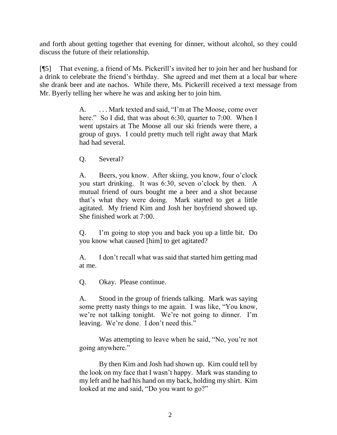and forth about getting together that evening for dinner, without alcohol, so they could discuss the future of their relationship.

[¶5] That evening, a friend of Ms. Pickerill's invited her to join her and her husband for a drink to celebrate the friend's birthday. She agreed and met them at a local bar where she drank beer and ate nachos. While there, Ms. Pickerill received a text message from Mr. Byerly telling her where he was and asking her to join him.

> A. . . . Mark texted and said, "I'm at The Moose, come over here." So I did, that was about 6:30, quarter to 7:00. When I went upstairs at The Moose all our ski friends were there, a group of guys. I could pretty much tell right away that Mark had had several.

Q. Several?

A. Beers, you know. After skiing, you know, four o'clock you start drinking. It was 6:30, seven o'clock by then. A mutual friend of ours bought me a beer and a shot because that's what they were doing. Mark started to get a little agitated. My friend Kim and Josh her boyfriend showed up. She finished work at 7:00.

Q. I'm going to stop you and back you up a little bit. Do you know what caused [him] to get agitated?

A. I don't recall what was said that started him getting mad at me.

Q. Okay. Please continue.

A. Stood in the group of friends talking. Mark was saying some pretty nasty things to me again. I was like, "You know, we're not talking tonight. We're not going to dinner. I'm leaving. We're done. I don't need this."

Was attempting to leave when he said, "No, you're not going anywhere."

By then Kim and Josh had shown up. Kim could tell by the look on my face that I wasn't happy. Mark was standing to my left and he had his hand on my back, holding my shirt. Kim looked at me and said, "Do you want to go?"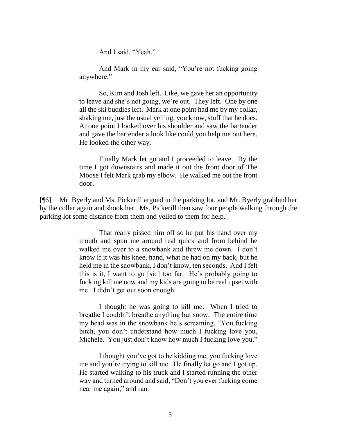And I said, "Yeah."

And Mark in my ear said, "You're not fucking going anywhere."

So, Kim and Josh left. Like, we gave her an opportunity to leave and she's not going, we're out. They left. One by one all the ski buddies left. Mark at one point had me by my collar, shaking me, just the usual yelling, you know, stuff that he does. At one point I looked over his shoulder and saw the bartender and gave the bartender a look like could you help me out here. He looked the other way.

Finally Mark let go and I proceeded to leave. By the time I got downstairs and made it out the front door of The Moose I felt Mark grab my elbow. He walked me out the front door.

[¶6] Mr. Byerly and Ms. Pickerill argued in the parking lot, and Mr. Byerly grabbed her by the collar again and shook her. Ms. Pickerill then saw four people walking through the parking lot some distance from them and yelled to them for help.

> That really pissed him off so he put his hand over my mouth and spun me around real quick and from behind he walked me over to a snowbank and threw me down. I don't know if it was his knee, hand, what he had on my back, but he held me in the snowbank, I don't know, ten seconds. And I felt this is it, I want to go [sic] too far. He's probably going to fucking kill me now and my kids are going to be real upset with me. I didn't get out soon enough.

> I thought he was going to kill me. When I tried to breathe I couldn't breathe anything but snow. The entire time my head was in the snowbank he's screaming, "You fucking bitch, you don't understand how much I fucking love you, Michele. You just don't know how much I fucking love you."

> I thought you've got to be kidding me, you fucking love me and you're trying to kill me. He finally let go and I got up. He started walking to his truck and I started running the other way and turned around and said, "Don't you ever fucking come near me again," and ran.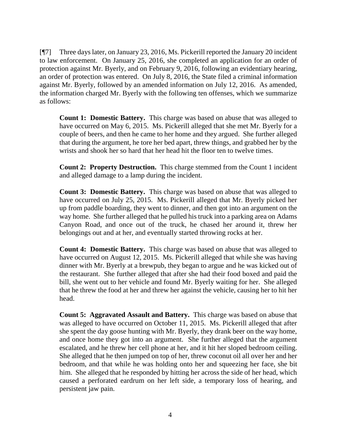[¶7] Three days later, on January 23, 2016, Ms. Pickerill reported the January 20 incident to law enforcement. On January 25, 2016, she completed an application for an order of protection against Mr. Byerly, and on February 9, 2016, following an evidentiary hearing, an order of protection was entered. On July 8, 2016, the State filed a criminal information against Mr. Byerly, followed by an amended information on July 12, 2016. As amended, the information charged Mr. Byerly with the following ten offenses, which we summarize as follows:

**Count 1: Domestic Battery.** This charge was based on abuse that was alleged to have occurred on May 6, 2015. Ms. Pickerill alleged that she met Mr. Byerly for a couple of beers, and then he came to her home and they argued. She further alleged that during the argument, he tore her bed apart, threw things, and grabbed her by the wrists and shook her so hard that her head hit the floor ten to twelve times.

**Count 2: Property Destruction.** This charge stemmed from the Count 1 incident and alleged damage to a lamp during the incident.

**Count 3: Domestic Battery.** This charge was based on abuse that was alleged to have occurred on July 25, 2015. Ms. Pickerill alleged that Mr. Byerly picked her up from paddle boarding, they went to dinner, and then got into an argument on the way home. She further alleged that he pulled his truck into a parking area on Adams Canyon Road, and once out of the truck, he chased her around it, threw her belongings out and at her, and eventually started throwing rocks at her.

**Count 4: Domestic Battery.** This charge was based on abuse that was alleged to have occurred on August 12, 2015. Ms. Pickerill alleged that while she was having dinner with Mr. Byerly at a brewpub, they began to argue and he was kicked out of the restaurant. She further alleged that after she had their food boxed and paid the bill, she went out to her vehicle and found Mr. Byerly waiting for her. She alleged that he threw the food at her and threw her against the vehicle, causing her to hit her head.

**Count 5: Aggravated Assault and Battery.** This charge was based on abuse that was alleged to have occurred on October 11, 2015. Ms. Pickerill alleged that after she spent the day goose hunting with Mr. Byerly, they drank beer on the way home, and once home they got into an argument. She further alleged that the argument escalated, and he threw her cell phone at her, and it hit her sloped bedroom ceiling. She alleged that he then jumped on top of her, threw coconut oil all over her and her bedroom, and that while he was holding onto her and squeezing her face, she bit him. She alleged that he responded by hitting her across the side of her head, which caused a perforated eardrum on her left side, a temporary loss of hearing, and persistent jaw pain.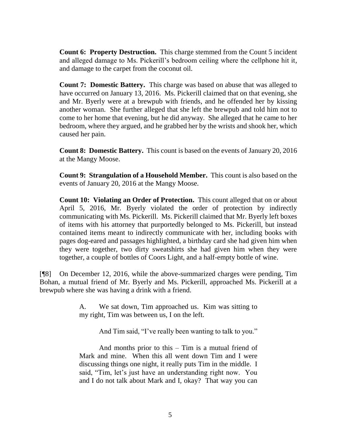**Count 6: Property Destruction.** This charge stemmed from the Count 5 incident and alleged damage to Ms. Pickerill's bedroom ceiling where the cellphone hit it, and damage to the carpet from the coconut oil.

**Count 7: Domestic Battery.** This charge was based on abuse that was alleged to have occurred on January 13, 2016. Ms. Pickerill claimed that on that evening, she and Mr. Byerly were at a brewpub with friends, and he offended her by kissing another woman. She further alleged that she left the brewpub and told him not to come to her home that evening, but he did anyway. She alleged that he came to her bedroom, where they argued, and he grabbed her by the wrists and shook her, which caused her pain.

**Count 8: Domestic Battery.** This count is based on the events of January 20, 2016 at the Mangy Moose.

**Count 9: Strangulation of a Household Member.** This count is also based on the events of January 20, 2016 at the Mangy Moose.

**Count 10: Violating an Order of Protection.** This count alleged that on or about April 5, 2016, Mr. Byerly violated the order of protection by indirectly communicating with Ms. Pickerill. Ms. Pickerill claimed that Mr. Byerly left boxes of items with his attorney that purportedly belonged to Ms. Pickerill, but instead contained items meant to indirectly communicate with her, including books with pages dog-eared and passages highlighted, a birthday card she had given him when they were together, two dirty sweatshirts she had given him when they were together, a couple of bottles of Coors Light, and a half-empty bottle of wine.

[¶8] On December 12, 2016, while the above-summarized charges were pending, Tim Bohan, a mutual friend of Mr. Byerly and Ms. Pickerill, approached Ms. Pickerill at a brewpub where she was having a drink with a friend.

> A. We sat down, Tim approached us. Kim was sitting to my right, Tim was between us, I on the left.

> > And Tim said, "I've really been wanting to talk to you."

And months prior to this – Tim is a mutual friend of Mark and mine. When this all went down Tim and I were discussing things one night, it really puts Tim in the middle. I said, "Tim, let's just have an understanding right now. You and I do not talk about Mark and I, okay? That way you can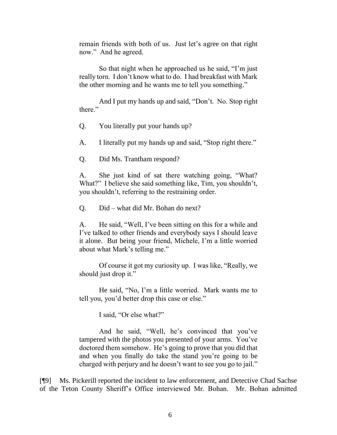remain friends with both of us. Just let's agree on that right now." And he agreed.

So that night when he approached us he said, "I'm just really torn. I don't know what to do. I had breakfast with Mark the other morning and he wants me to tell you something."

And I put my hands up and said, "Don't. No. Stop right there."

Q. You literally put your hands up?

A. I literally put my hands up and said, "Stop right there."

Q. Did Ms. Trantham respond?

A. She just kind of sat there watching going, "What? What?" I believe she said something like, Tim, you shouldn't, you shouldn't, referring to the restraining order.

Q. Did – what did Mr. Bohan do next?

A. He said, "Well, I've been sitting on this for a while and I've talked to other friends and everybody says I should leave it alone. But being your friend, Michele, I'm a little worried about what Mark's telling me."

Of course it got my curiosity up. I was like, "Really, we should just drop it."

He said, "No, I'm a little worried. Mark wants me to tell you, you'd better drop this case or else."

I said, "Or else what?"

And he said, "Well, he's convinced that you've tampered with the photos you presented of your arms. You've doctored them somehow. He's going to prove that you did that and when you finally do take the stand you're going to be charged with perjury and he doesn't want to see you go to jail."

[¶9] Ms. Pickerill reported the incident to law enforcement, and Detective Chad Sachse of the Teton County Sheriff's Office interviewed Mr. Bohan. Mr. Bohan admitted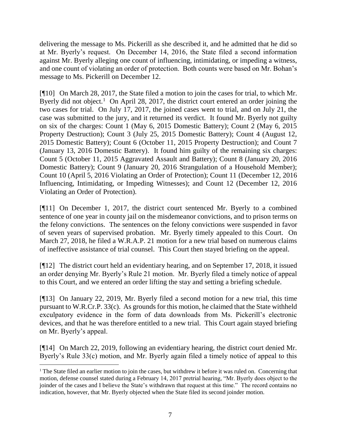delivering the message to Ms. Pickerill as she described it, and he admitted that he did so at Mr. Byerly's request. On December 14, 2016, the State filed a second information against Mr. Byerly alleging one count of influencing, intimidating, or impeding a witness, and one count of violating an order of protection. Both counts were based on Mr. Bohan's message to Ms. Pickerill on December 12.

[¶10] On March 28, 2017, the State filed a motion to join the cases for trial, to which Mr. Byerly did not object.<sup>1</sup> On April 28, 2017, the district court entered an order joining the two cases for trial. On July 17, 2017, the joined cases went to trial, and on July 21, the case was submitted to the jury, and it returned its verdict. It found Mr. Byerly not guilty on six of the charges: Count 1 (May 6, 2015 Domestic Battery); Count 2 (May 6, 2015 Property Destruction); Count 3 (July 25, 2015 Domestic Battery); Count 4 (August 12, 2015 Domestic Battery); Count 6 (October 11, 2015 Property Destruction); and Count 7 (January 13, 2016 Domestic Battery). It found him guilty of the remaining six charges: Count 5 (October 11, 2015 Aggravated Assault and Battery); Count 8 (January 20, 2016 Domestic Battery); Count 9 (January 20, 2016 Strangulation of a Household Member); Count 10 (April 5, 2016 Violating an Order of Protection); Count 11 (December 12, 2016 Influencing, Intimidating, or Impeding Witnesses); and Count 12 (December 12, 2016 Violating an Order of Protection).

[¶11] On December 1, 2017, the district court sentenced Mr. Byerly to a combined sentence of one year in county jail on the misdemeanor convictions, and to prison terms on the felony convictions. The sentences on the felony convictions were suspended in favor of seven years of supervised probation. Mr. Byerly timely appealed to this Court. On March 27, 2018, he filed a W.R.A.P. 21 motion for a new trial based on numerous claims of ineffective assistance of trial counsel. This Court then stayed briefing on the appeal.

[¶12] The district court held an evidentiary hearing, and on September 17, 2018, it issued an order denying Mr. Byerly's Rule 21 motion. Mr. Byerly filed a timely notice of appeal to this Court, and we entered an order lifting the stay and setting a briefing schedule.

[¶13] On January 22, 2019, Mr. Byerly filed a second motion for a new trial, this time pursuant to W.R.Cr.P. 33(c). As grounds for this motion, he claimed that the State withheld exculpatory evidence in the form of data downloads from Ms. Pickerill's electronic devices, and that he was therefore entitled to a new trial. This Court again stayed briefing on Mr. Byerly's appeal.

[¶14] On March 22, 2019, following an evidentiary hearing, the district court denied Mr. Byerly's Rule 33(c) motion, and Mr. Byerly again filed a timely notice of appeal to this

<sup>&</sup>lt;sup>1</sup> The State filed an earlier motion to join the cases, but withdrew it before it was ruled on. Concerning that motion, defense counsel stated during a February 14, 2017 pretrial hearing, "Mr. Byerly does object to the joinder of the cases and I believe the State's withdrawn that request at this time." The record contains no indication, however, that Mr. Byerly objected when the State filed its second joinder motion.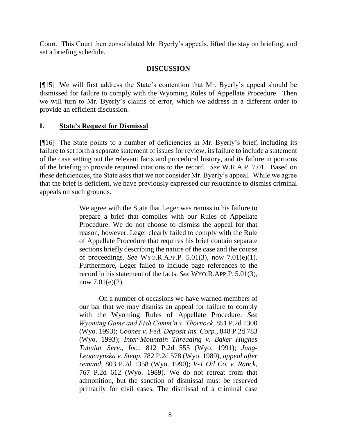Court. This Court then consolidated Mr. Byerly's appeals, lifted the stay on briefing, and set a briefing schedule.

### **DISCUSSION**

[¶15] We will first address the State's contention that Mr. Byerly's appeal should be dismissed for failure to comply with the Wyoming Rules of Appellate Procedure. Then we will turn to Mr. Byerly's claims of error, which we address in a different order to provide an efficient discussion.

#### **I. State's Request for Dismissal**

[¶16] The State points to a number of deficiencies in Mr. Byerly's brief, including its failure to set forth a separate statement of issues for review, its failure to include a statement of the case setting out the relevant facts and procedural history, and its failure in portions of the briefing to provide required citations to the record. *See* W.R.A.P. 7.01. Based on these deficiencies, the State asks that we not consider Mr. Byerly's appeal. While we agree that the brief is deficient, we have previously expressed our reluctance to dismiss criminal appeals on such grounds.

> We agree with the State that Leger was remiss in his failure to prepare a brief that complies with our Rules of Appellate Procedure. We do not choose to dismiss the appeal for that reason, however. Leger clearly failed to comply with the Rule of Appellate Procedure that requires his brief contain separate sections briefly describing the nature of the case and the course of proceedings. *See* WYO.R.APP.P. [5.01\(3\),](http://www.westlaw.com/Link/Document/FullText?findType=L&pubNum=1006377&cite=WYRRAPR5.01&originatingDoc=I2d82561df59c11d9b386b232635db992&refType=LQ&originationContext=document&vr=3.0&rs=cblt1.0&transitionType=DocumentItem&contextData=(sc.UserEnteredCitation)) now 7.01(e)(1). Furthermore, Leger failed to include page references to the record in his statement of the facts. *See* WYO.R.APP.P. [5.01\(3\),](http://www.westlaw.com/Link/Document/FullText?findType=L&pubNum=1006377&cite=WYRRAPR5.01&originatingDoc=I2d82561df59c11d9b386b232635db992&refType=LQ&originationContext=document&vr=3.0&rs=cblt1.0&transitionType=DocumentItem&contextData=(sc.UserEnteredCitation)) now 7.01(e)(2).

> On a number of occasions we have warned members of our bar that we may dismiss an appeal for failure to comply with the Wyoming Rules of Appellate Procedure. *See Wyoming Game and Fish Comm'n v. Thornock*, 851 P.2d 1300 (Wyo. 1993); *Coones v. Fed. Deposit Ins. Corp.*, 848 P.2d 783 (Wyo. 1993); *Inter-Mountain Threading v. Baker Hughes Tubular Serv., Inc.*, 812 P.2d 555 (Wyo. 1991); *Jung-Leonczynska v. Steup*, 782 P.2d 578 (Wyo. 1989), *appeal after remand*, [803 P.2d 1358 \(Wyo.](http://www.westlaw.com/Link/Document/FullText?findType=Y&serNum=1991015663&pubNum=661&originatingDoc=I2d82561df59c11d9b386b232635db992&refType=RP&originationContext=document&vr=3.0&rs=cblt1.0&transitionType=DocumentItem&contextData=(sc.UserEnteredCitation)) 1990); *V-1 Oil Co. v. Ranck*, 767 P.2d 612 (Wyo. 1989). We do not retreat from that admonition, but the sanction of dismissal must be reserved primarily for civil cases. The dismissal of a criminal case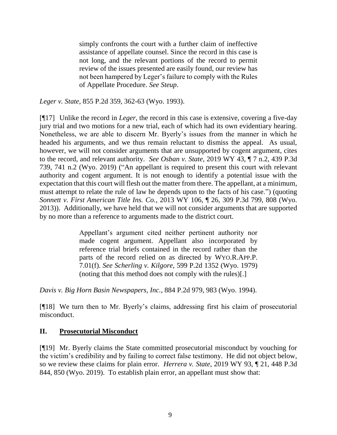simply confronts the court with a further claim of ineffective assistance of appellate counsel. Since the record in this case is not long, and the relevant portions of the record to permit review of the issues presented are easily found, our review has not been hampered by Leger's failure to comply with the Rules of Appellate Procedure. *See Steup*.

*Leger v. State*, 855 P.2d 359, 362-63 (Wyo. 1993).

[¶17] Unlike the record in *Leger*, the record in this case is extensive, covering a five-day jury trial and two motions for a new trial, each of which had its own evidentiary hearing. Nonetheless, we are able to discern Mr. Byerly's issues from the manner in which he headed his arguments, and we thus remain reluctant to dismiss the appeal. As usual, however, we will not consider arguments that are unsupported by cogent argument, cites to the record, and relevant authority. *See Osban v. State*, 2019 WY 43, ¶ 7 n.2, 439 P.3d 739, 741 n.2 (Wyo. 2019) ("An appellant is required to present this court with relevant authority and cogent argument. It is not enough to identify a potential issue with the expectation that this court will flesh out the matter from there. The appellant, at a minimum, must attempt to relate the rule of law he depends upon to the facts of his case.") (quoting *Sonnett v. First American Title Ins. Co.*[, 2013 WY 106, ¶ 26, 309 P.3d 799, 808 \(Wyo.](http://www.westlaw.com/Link/Document/FullText?findType=Y&serNum=2031555111&pubNum=0004645&originatingDoc=I4f685e2062ea11e9a072efd81f5238d6&refType=RP&fi=co_pp_sp_4645_808&originationContext=document&vr=3.0&rs=cblt1.0&transitionType=DocumentItem&contextData=(sc.Search)#co_pp_sp_4645_808)  [2013\)\)](http://www.westlaw.com/Link/Document/FullText?findType=Y&serNum=2031555111&pubNum=0004645&originatingDoc=I4f685e2062ea11e9a072efd81f5238d6&refType=RP&fi=co_pp_sp_4645_808&originationContext=document&vr=3.0&rs=cblt1.0&transitionType=DocumentItem&contextData=(sc.Search)#co_pp_sp_4645_808). Additionally, we have held that we will not consider arguments that are supported by no more than a reference to arguments made to the district court.

> Appellant's argument cited neither pertinent authority nor made cogent argument. Appellant also incorporated by reference trial briefs contained in the record rather than the parts of the record relied on as directed by WYO.R.APP.P. 7.01(f). *See Scherling v. Kilgore*, 599 P.2d 1352 (Wyo. 1979) (noting that this method does not comply with the rules)[.]

*Davis v. Big Horn Basin Newspapers, Inc.*, 884 P.2d 979, 983 (Wyo. 1994).

[¶18] We turn then to Mr. Byerly's claims, addressing first his claim of prosecutorial misconduct.

#### **II. Prosecutorial Misconduct**

[¶19] Mr. Byerly claims the State committed prosecutorial misconduct by vouching for the victim's credibility and by failing to correct false testimony. He did not object below, so we review these claims for plain error. *Herrera v. State*, 2019 WY 93, ¶ 21, 448 P.3d 844, 850 (Wyo. 2019). To establish plain error, an appellant must show that: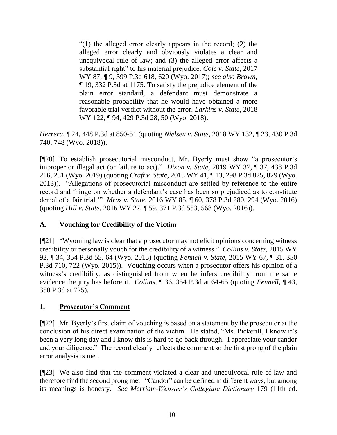"(1) the alleged error clearly appears in the record; (2) the alleged error clearly and obviously violates a clear and unequivocal rule of law; and (3) the alleged error affects a substantial right" to his material prejudice. *Cole v. State*, 2017 WY 87, ¶ 9, 399 P.3d 618, 620 (Wyo. 2017); *see also Brown*, ¶ 19, 332 P.3d at 1175. To satisfy the prejudice element of the plain error standard, a defendant must demonstrate a reasonable probability that he would have obtained a more favorable trial verdict without the error. *Larkins v. State*, 2018 WY 122, ¶ 94, 429 P.3d 28, 50 (Wyo. 2018).

*Herrera*, ¶ 24, 448 P.3d at 850-51 (quoting *Nielsen v. State*, 2018 WY 132, ¶ 23, 430 P.3d 740, 748 (Wyo. 2018)).

[¶20] To establish prosecutorial misconduct, Mr. Byerly must show "a prosecutor's improper or illegal act (or failure to act)." *Dixon v. State*, 2019 WY 37, ¶ 37, 438 P.3d 216, 231 (Wyo. 2019) (quoting *Craft v. State*, 2013 WY 41, ¶ 13, 298 P.3d 825, 829 (Wyo. 2013)). "Allegations of prosecutorial misconduct are settled by reference to the entire record and 'hinge on whether a defendant's case has been so prejudiced as to constitute denial of a fair trial.'" *Mraz v. State*, 2016 WY 85, ¶ 60, 378 P.3d 280, 294 (Wyo. 2016) (quoting *Hill v. State*, 2016 WY 27, ¶ 59, 371 P.3d 553, 568 (Wyo. 2016)).

### **A. Vouching for Credibility of the Victim**

[¶21] "Wyoming law is clear that a prosecutor may not elicit opinions concerning witness credibility or personally vouch for the credibility of a witness." *Collins v. State*, 2015 WY 92, ¶ 34, 354 P.3d 55, 64 (Wyo. 2015) (quoting *Fennell v. State*[, 2015 WY 67, ¶ 31, 350](http://www.westlaw.com/Link/Document/FullText?findType=Y&serNum=2036255668&pubNum=0004645&originatingDoc=I2ebfc3612c0711e5a807ad48145ed9f1&refType=RP&originationContext=document&vr=3.0&rs=cblt1.0&transitionType=DocumentItem&contextData=(sc.Search))  [P.3d 710, 722](http://www.westlaw.com/Link/Document/FullText?findType=Y&serNum=2036255668&pubNum=0004645&originatingDoc=I2ebfc3612c0711e5a807ad48145ed9f1&refType=RP&originationContext=document&vr=3.0&rs=cblt1.0&transitionType=DocumentItem&contextData=(sc.Search)) (Wyo. 2015)). Vouching occurs when a prosecutor offers his opinion of a witness's credibility, as distinguished from when he infers credibility from the same evidence the jury has before it. *Collins*, ¶ 36, 354 P.3d at 64-65 (quoting *[Fennell](http://www.westlaw.com/Link/Document/FullText?findType=Y&serNum=2036255668&pubNum=0004645&originatingDoc=I2ebfc3612c0711e5a807ad48145ed9f1&refType=RP&fi=co_pp_sp_4645_725&originationContext=document&vr=3.0&rs=cblt1.0&transitionType=DocumentItem&contextData=(sc.Search)#co_pp_sp_4645_725)*, ¶ 43, [350 P.3d at 725\)](http://www.westlaw.com/Link/Document/FullText?findType=Y&serNum=2036255668&pubNum=0004645&originatingDoc=I2ebfc3612c0711e5a807ad48145ed9f1&refType=RP&fi=co_pp_sp_4645_725&originationContext=document&vr=3.0&rs=cblt1.0&transitionType=DocumentItem&contextData=(sc.Search)#co_pp_sp_4645_725).

### **1. Prosecutor's Comment**

[¶22] Mr. Byerly's first claim of vouching is based on a statement by the prosecutor at the conclusion of his direct examination of the victim. He stated, "Ms. Pickerill, I know it's been a very long day and I know this is hard to go back through. I appreciate your candor and your diligence." The record clearly reflects the comment so the first prong of the plain error analysis is met.

[¶23] We also find that the comment violated a clear and unequivocal rule of law and therefore find the second prong met. "Candor" can be defined in different ways, but among its meanings is honesty. *See Merriam-Webster's Collegiate Dictionary* 179 (11th ed.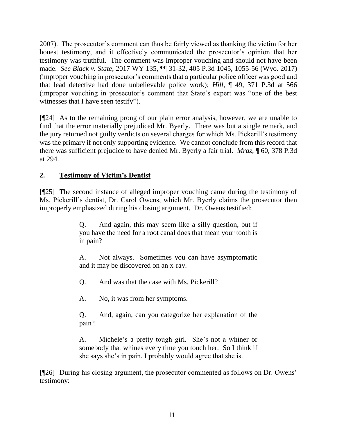2007). The prosecutor's comment can thus be fairly viewed as thanking the victim for her honest testimony, and it effectively communicated the prosecutor's opinion that her testimony was truthful. The comment was improper vouching and should not have been made. *See Black v. State*, 2017 WY 135, ¶¶ 31-32, 405 P.3d 1045, 1055-56 (Wyo. 2017) (improper vouching in prosecutor's comments that a particular police officer was good and that lead detective had done unbelievable police work); *Hill*, ¶ 49, 371 P.3d at 566 (improper vouching in prosecutor's comment that State's expert was "one of the best witnesses that I have seen testify").

[¶24] As to the remaining prong of our plain error analysis, however, we are unable to find that the error materially prejudiced Mr. Byerly. There was but a single remark, and the jury returned not guilty verdicts on several charges for which Ms. Pickerill's testimony was the primary if not only supporting evidence. We cannot conclude from this record that there was sufficient prejudice to have denied Mr. Byerly a fair trial. *Mraz,* ¶ 60, 378 P.3d at 294.

## **2. Testimony of Victim's Dentist**

[¶25] The second instance of alleged improper vouching came during the testimony of Ms. Pickerill's dentist, Dr. Carol Owens, which Mr. Byerly claims the prosecutor then improperly emphasized during his closing argument. Dr. Owens testified:

> Q. And again, this may seem like a silly question, but if you have the need for a root canal does that mean your tooth is in pain?

> A. Not always. Sometimes you can have asymptomatic and it may be discovered on an x-ray.

Q. And was that the case with Ms. Pickerill?

A. No, it was from her symptoms.

Q. And, again, can you categorize her explanation of the pain?

A. Michele's a pretty tough girl. She's not a whiner or somebody that whines every time you touch her. So I think if she says she's in pain, I probably would agree that she is.

[¶26] During his closing argument, the prosecutor commented as follows on Dr. Owens' testimony: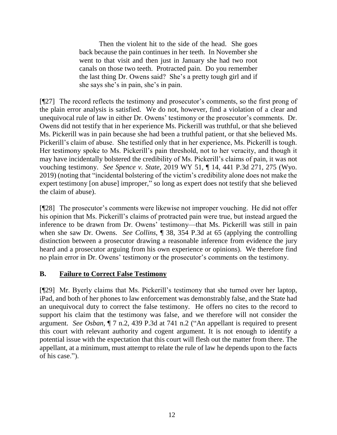Then the violent hit to the side of the head. She goes back because the pain continues in her teeth. In November she went to that visit and then just in January she had two root canals on those two teeth. Protracted pain. Do you remember the last thing Dr. Owens said? She's a pretty tough girl and if she says she's in pain, she's in pain.

[¶27] The record reflects the testimony and prosecutor's comments, so the first prong of the plain error analysis is satisfied. We do not, however, find a violation of a clear and unequivocal rule of law in either Dr. Owens' testimony or the prosecutor's comments. Dr. Owens did not testify that in her experience Ms. Pickerill was truthful, or that she believed Ms. Pickerill was in pain because she had been a truthful patient, or that she believed Ms. Pickerill's claim of abuse. She testified only that in her experience, Ms. Pickerill is tough. Her testimony spoke to Ms. Pickerill's pain threshold, not to her veracity, and though it may have incidentally bolstered the credibility of Ms. Pickerill's claims of pain, it was not vouching testimony. *See Spence v. State*, 2019 WY 51, ¶ 14, 441 P.3d 271, 275 (Wyo. 2019) (noting that "incidental bolstering of the victim's credibility alone does not make the expert testimony [on abuse] improper," so long as expert does not testify that she believed the claim of abuse).

[¶28] The prosecutor's comments were likewise not improper vouching. He did not offer his opinion that Ms. Pickerill's claims of protracted pain were true, but instead argued the inference to be drawn from Dr. Owens' testimony—that Ms. Pickerill was still in pain when she saw Dr. Owens. *See Collins*, ¶ 38, 354 P.3d at 65 (applying the controlling distinction between a prosecutor drawing a reasonable inference from evidence the jury heard and a prosecutor arguing from his own experience or opinions). We therefore find no plain error in Dr. Owens' testimony or the prosecutor's comments on the testimony.

#### **B. Failure to Correct False Testimony**

[¶29] Mr. Byerly claims that Ms. Pickerill's testimony that she turned over her laptop, iPad, and both of her phones to law enforcement was demonstrably false, and the State had an unequivocal duty to correct the false testimony. He offers no cites to the record to support his claim that the testimony was false, and we therefore will not consider the argument. *See Osban*, ¶ 7 n.2, 439 P.3d at 741 n.2 ("An appellant is required to present this court with relevant authority and cogent argument. It is not enough to identify a potential issue with the expectation that this court will flesh out the matter from there. The appellant, at a minimum, must attempt to relate the rule of law he depends upon to the facts of his case.").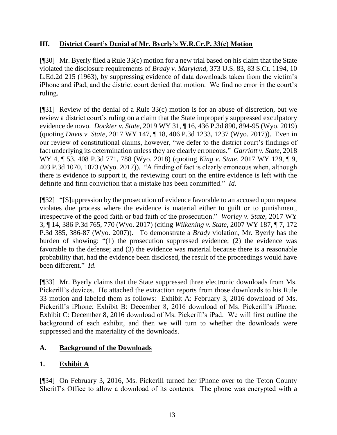## **III. District Court's Denial of Mr. Byerly's W.R.Cr.P. 33(c) Motion**

[¶30] Mr. Byerly filed a Rule 33(c) motion for a new trial based on his claim that the State violated the disclosure requirements of *Brady v. Maryland*[, 373 U.S. 83, 83 S.Ct. 1194, 10](http://www.westlaw.com/Link/Document/FullText?findType=Y&serNum=1963125353&pubNum=0000708&originatingDoc=Ibfd344e04a9411e98335c7ebe72735f9&refType=RP&fi=co_pp_sp_708_1196&originationContext=document&vr=3.0&rs=cblt1.0&transitionType=DocumentItem&contextData=(sc.UserEnteredCitation)#co_pp_sp_708_1196)  [L.Ed.2d 215 \(1963\),](http://www.westlaw.com/Link/Document/FullText?findType=Y&serNum=1963125353&pubNum=0000708&originatingDoc=Ibfd344e04a9411e98335c7ebe72735f9&refType=RP&fi=co_pp_sp_708_1196&originationContext=document&vr=3.0&rs=cblt1.0&transitionType=DocumentItem&contextData=(sc.UserEnteredCitation)#co_pp_sp_708_1196) by suppressing evidence of data downloads taken from the victim's iPhone and iPad, and the district court denied that motion. We find no error in the court's ruling.

[¶31] Review of the denial of a Rule 33(c) motion is for an abuse of discretion, but we review a district court's ruling on a claim that the State improperly suppressed exculpatory evidence de novo. *Dockter v. State*, 2019 WY 31, ¶ 16, 436 P.3d 890, 894-95 (Wyo. 2019) (quoting *Davis v. State*[, 2017 WY 147, ¶ 18, 406 P.3d 1233, 1237 \(Wyo. 2017\)\)](http://www.westlaw.com/Link/Document/FullText?findType=Y&serNum=2043388417&pubNum=0004645&originatingDoc=Ibfd344e04a9411e98335c7ebe72735f9&refType=RP&fi=co_pp_sp_4645_1237&originationContext=document&vr=3.0&rs=cblt1.0&transitionType=DocumentItem&contextData=(sc.UserEnteredCitation)#co_pp_sp_4645_1237). Even in our review of constitutional claims, however, "we defer to the district court's findings of fact underlying its determination unless they are clearly erroneous." *Garriott v. State*, 2018 WY 4, ¶ 53, 408 P.3d 771, 788 (Wyo. 2018) (quoting *King v. State*[, 2017 WY 129, ¶ 9,](http://www.westlaw.com/Link/Document/FullText?findType=Y&serNum=2042967724&pubNum=0004645&originatingDoc=I7e903480fca611e7b565bb5dd3180177&refType=RP&fi=co_pp_sp_4645_1073&originationContext=document&vr=3.0&rs=cblt1.0&transitionType=DocumentItem&contextData=(sc.UserEnteredCitation)#co_pp_sp_4645_1073)  [403 P.3d 1070, 1073 \(Wyo. 2017\)\)](http://www.westlaw.com/Link/Document/FullText?findType=Y&serNum=2042967724&pubNum=0004645&originatingDoc=I7e903480fca611e7b565bb5dd3180177&refType=RP&fi=co_pp_sp_4645_1073&originationContext=document&vr=3.0&rs=cblt1.0&transitionType=DocumentItem&contextData=(sc.UserEnteredCitation)#co_pp_sp_4645_1073). "A finding of fact is clearly erroneous when, although there is evidence to support it, the reviewing court on the entire evidence is left with the definite and firm conviction that a mistake has been committed." *Id*.

[¶32] "[S]uppression by the prosecution of evidence favorable to an accused upon request violates due process where the evidence is material either to guilt or to punishment, irrespective of the good faith or bad faith of the prosecution." *Worley v. State*, 2017 WY 3, ¶ 14, 386 P.3d 765, 770 (Wyo. 2017) (citing *Wilkening v. State*[, 2007 WY 187, ¶ 7, 172](http://www.westlaw.com/Link/Document/FullText?findType=Y&serNum=2014238279&pubNum=0004645&originatingDoc=I6b239390d89111e6960ceb4fdef01e17&refType=RP&fi=co_pp_sp_4645_386&originationContext=document&vr=3.0&rs=cblt1.0&transitionType=DocumentItem&contextData=(sc.Search)#co_pp_sp_4645_386)  [P.3d 385, 386-87](http://www.westlaw.com/Link/Document/FullText?findType=Y&serNum=2014238279&pubNum=0004645&originatingDoc=I6b239390d89111e6960ceb4fdef01e17&refType=RP&fi=co_pp_sp_4645_386&originationContext=document&vr=3.0&rs=cblt1.0&transitionType=DocumentItem&contextData=(sc.Search)#co_pp_sp_4645_386) (Wyo. 2007)). To demonstrate a *[Brady](http://www.westlaw.com/Link/Document/FullText?findType=Y&serNum=1963125353&pubNum=0000708&originatingDoc=I6b239390d89111e6960ceb4fdef01e17&refType=RP&originationContext=document&vr=3.0&rs=cblt1.0&transitionType=DocumentItem&contextData=(sc.Search))* violation, Mr. Byerly has the burden of showing: "(1) the prosecution suppressed evidence; (2) the evidence was favorable to the defense; and (3) the evidence was material because there is a reasonable probability that, had the evidence been disclosed, the result of the proceedings would have been different." *Id*.

[¶33] Mr. Byerly claims that the State suppressed three electronic downloads from Ms. Pickerill's devices. He attached the extraction reports from those downloads to his Rule 33 motion and labeled them as follows: Exhibit A: February 3, 2016 download of Ms. Pickerill's iPhone; Exhibit B: December 8, 2016 download of Ms. Pickerill's iPhone; Exhibit C: December 8, 2016 download of Ms. Pickerill's iPad. We will first outline the background of each exhibit, and then we will turn to whether the downloads were suppressed and the materiality of the downloads.

### **A. Background of the Downloads**

# **1. Exhibit A**

[¶34] On February 3, 2016, Ms. Pickerill turned her iPhone over to the Teton County Sheriff's Office to allow a download of its contents. The phone was encrypted with a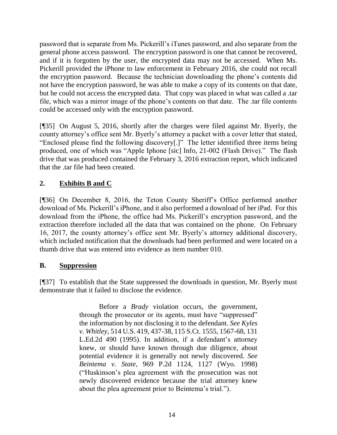password that is separate from Ms. Pickerill's iTunes password, and also separate from the general phone access password. The encryption password is one that cannot be recovered, and if it is forgotten by the user, the encrypted data may not be accessed. When Ms. Pickerill provided the iPhone to law enforcement in February 2016, she could not recall the encryption password. Because the technician downloading the phone's contents did not have the encryption password, he was able to make a copy of its contents on that date, but he could not access the encrypted data. That copy was placed in what was called a .tar file, which was a mirror image of the phone's contents on that date. The .tar file contents could be accessed only with the encryption password.

[¶35] On August 5, 2016, shortly after the charges were filed against Mr. Byerly, the county attorney's office sent Mr. Byerly's attorney a packet with a cover letter that stated, "Enclosed please find the following discovery[.]" The letter identified three items being produced, one of which was "Apple Iphone [sic] Info, 21-002 (Flash Drive)." The flash drive that was produced contained the February 3, 2016 extraction report, which indicated that the .tar file had been created.

## **2. Exhibits B and C**

[¶36] On December 8, 2016, the Teton County Sheriff's Office performed another download of Ms. Pickerill's iPhone, and it also performed a download of her iPad. For this download from the iPhone, the office had Ms. Pickerill's encryption password, and the extraction therefore included all the data that was contained on the phone. On February 16, 2017, the county attorney's office sent Mr. Byerly's attorney additional discovery, which included notification that the downloads had been performed and were located on a thumb drive that was entered into evidence as item number 010.

#### **B. Suppression**

[¶37] To establish that the State suppressed the downloads in question, Mr. Byerly must demonstrate that it failed to disclose the evidence.

> Before a *[Brady](http://www.westlaw.com/Link/Document/FullText?findType=Y&serNum=1963125353&pubNum=0000708&originatingDoc=Ibfd344e04a9411e98335c7ebe72735f9&refType=RP&originationContext=document&vr=3.0&rs=cblt1.0&transitionType=DocumentItem&contextData=(sc.UserEnteredCitation))* violation occurs, the government, through the prosecutor or its agents, must have "suppressed" the information by not disclosing it to the defendant. *See [Kyles](http://www.westlaw.com/Link/Document/FullText?findType=Y&serNum=1995091643&pubNum=0000708&originatingDoc=Ibfd344e04a9411e98335c7ebe72735f9&refType=RP&fi=co_pp_sp_708_1567&originationContext=document&vr=3.0&rs=cblt1.0&transitionType=DocumentItem&contextData=(sc.UserEnteredCitation)#co_pp_sp_708_1567)  v. Whitley*[, 514 U.S. 419, 437-38, 115 S.Ct. 1555, 1567-68, 131](http://www.westlaw.com/Link/Document/FullText?findType=Y&serNum=1995091643&pubNum=0000708&originatingDoc=Ibfd344e04a9411e98335c7ebe72735f9&refType=RP&fi=co_pp_sp_708_1567&originationContext=document&vr=3.0&rs=cblt1.0&transitionType=DocumentItem&contextData=(sc.UserEnteredCitation)#co_pp_sp_708_1567)  [L.Ed.2d 490 \(1995\).](http://www.westlaw.com/Link/Document/FullText?findType=Y&serNum=1995091643&pubNum=0000708&originatingDoc=Ibfd344e04a9411e98335c7ebe72735f9&refType=RP&fi=co_pp_sp_708_1567&originationContext=document&vr=3.0&rs=cblt1.0&transitionType=DocumentItem&contextData=(sc.UserEnteredCitation)#co_pp_sp_708_1567) In addition, if a defendant's attorney knew, or should have known through due diligence, about potential evidence it is generally not newly discovered. *See Beintema v. State*[, 969 P.2d 1124, 1127 \(Wyo. 1998\)](http://www.westlaw.com/Link/Document/FullText?findType=Y&serNum=1998247671&pubNum=0000661&originatingDoc=Ibfd344e04a9411e98335c7ebe72735f9&refType=RP&fi=co_pp_sp_661_1127&originationContext=document&vr=3.0&rs=cblt1.0&transitionType=DocumentItem&contextData=(sc.UserEnteredCitation)#co_pp_sp_661_1127) ("Huskinson's plea agreement with the prosecution was not newly discovered evidence because the trial attorney knew about the plea agreement prior to Beintema's trial.").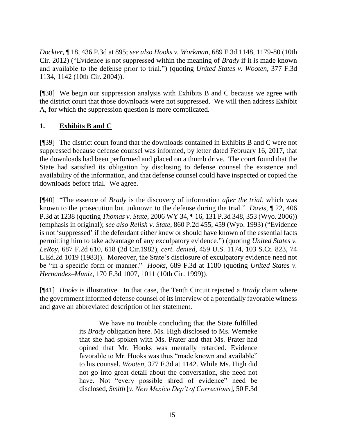*Dockter*, ¶ 18, 436 P.3d at 895; *see also Hooks v. Workman*, 689 F.3d 1148, 1179-80 (10th Cir. 2012) ("Evidence is not suppressed within the meaning of *Brady* if it is made known and available to the defense prior to trial.") (quoting *[United States v. Wooten](http://www.westlaw.com/Link/Document/FullText?findType=Y&serNum=2004843867&pubNum=0000506&originatingDoc=I1ba36193ddca11e1b11ea85d0b248d27&refType=RP&fi=co_pp_sp_506_1142&originationContext=document&vr=3.0&rs=cblt1.0&transitionType=DocumentItem&contextData=(sc.UserEnteredCitation)#co_pp_sp_506_1142)*, 377 F.3d [1134, 1142 \(10th Cir.](http://www.westlaw.com/Link/Document/FullText?findType=Y&serNum=2004843867&pubNum=0000506&originatingDoc=I1ba36193ddca11e1b11ea85d0b248d27&refType=RP&fi=co_pp_sp_506_1142&originationContext=document&vr=3.0&rs=cblt1.0&transitionType=DocumentItem&contextData=(sc.UserEnteredCitation)#co_pp_sp_506_1142) 2004)).

[¶38] We begin our suppression analysis with Exhibits B and C because we agree with the district court that those downloads were not suppressed. We will then address Exhibit A, for which the suppression question is more complicated.

## **1. Exhibits B and C**

[¶39] The district court found that the downloads contained in Exhibits B and C were not suppressed because defense counsel was informed, by letter dated February 16, 2017, that the downloads had been performed and placed on a thumb drive. The court found that the State had satisfied its obligation by disclosing to defense counsel the existence and availability of the information, and that defense counsel could have inspected or copied the downloads before trial. We agree.

[¶40] "The essence of *[Brady](http://www.westlaw.com/Link/Document/FullText?findType=Y&serNum=1963125353&pubNum=0000708&originatingDoc=I91ae0f00e13111e78c5db03c58f2bc1d&refType=RP&originationContext=document&vr=3.0&rs=cblt1.0&transitionType=DocumentItem&contextData=(sc.Search))* is the discovery of information *after the trial*, which was known to the prosecution but unknown to the defense during the trial." *Davis*, ¶ 22, 406 P.3d at 1238 (quoting *Thomas v. State*, 2006 WY 34, ¶ 16, 131 P.3d 348, 353 (Wyo. 2006)) (emphasis in original); *see also Relish v. State*, 860 P.2d 455, 459 (Wyo. 1993) ("Evidence is not 'suppressed' if the defendant either knew or should have known of the essential facts permitting him to take advantage of any exculpatory evidence.") (quoting *United States v. LeRoy*, 687 F.2d 610, 618 (2d Cir.1982), *cert. denied*, 459 U.S. 1174, 103 S.Ct. 823, 74 L.Ed.2d 1019 (1983)). Moreover, the State's disclosure of exculpatory evidence need not be "in a specific form or manner." *Hooks*, 689 F.3d at 1180 (quoting *United States v. Hernandez–Muniz*, 170 F.3d 1007, 1011 (10th Cir. 1999)).

[¶41] *Hooks* is illustrative. In that case, the Tenth Circuit rejected a *Brady* claim where the government informed defense counsel of its interview of a potentially favorable witness and gave an abbreviated description of her statement.

> We have no trouble concluding that the State fulfilled its *Brady* obligation here. Ms. High disclosed to Ms. Werneke that she had spoken with Ms. Prater and that Ms. Prater had opined that Mr. Hooks was mentally retarded. Evidence favorable to Mr. Hooks was thus "made known and available" to his counsel. *Wooten*, 377 F.3d at 1142. While Ms. High did not go into great detail about the conversation, she need not have. Not "every possible shred of evidence" need be disclosed, *Smith* [*[v. New Mexico Dep't of Corrections](http://www.westlaw.com/Link/Document/FullText?findType=Y&serNum=1995064459&pubNum=506&originatingDoc=I1ba36193ddca11e1b11ea85d0b248d27&refType=RP&fi=co_pp_sp_506_823&originationContext=document&vr=3.0&rs=cblt1.0&transitionType=DocumentItem&contextData=(sc.UserEnteredCitation)#co_pp_sp_506_823)*], 50 F.3d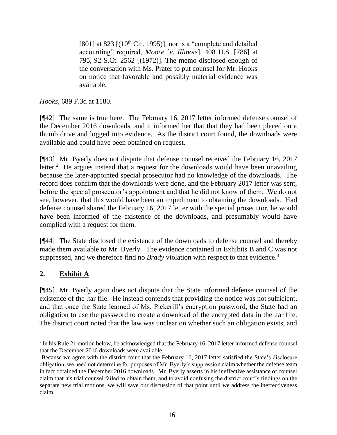[\[801\] at 823](http://www.westlaw.com/Link/Document/FullText?findType=Y&serNum=1995064459&pubNum=506&originatingDoc=I1ba36193ddca11e1b11ea85d0b248d27&refType=RP&fi=co_pp_sp_506_823&originationContext=document&vr=3.0&rs=cblt1.0&transitionType=DocumentItem&contextData=(sc.UserEnteredCitation)#co_pp_sp_506_823)  $[(10<sup>th</sup> Cir. 1995)]$ , nor is a "complete and detailed accounting" required, *Moore* [*v. Illinois*[\], 408 U.S. \[786\] at](http://www.westlaw.com/Link/Document/FullText?findType=Y&serNum=1972127183&pubNum=708&originatingDoc=I1ba36193ddca11e1b11ea85d0b248d27&refType=RP&originationContext=document&vr=3.0&rs=cblt1.0&transitionType=DocumentItem&contextData=(sc.UserEnteredCitation))  [795, 92 S.Ct. 2562](http://www.westlaw.com/Link/Document/FullText?findType=Y&serNum=1972127183&pubNum=708&originatingDoc=I1ba36193ddca11e1b11ea85d0b248d27&refType=RP&originationContext=document&vr=3.0&rs=cblt1.0&transitionType=DocumentItem&contextData=(sc.UserEnteredCitation)) [(1972)]. The memo disclosed enough of the conversation with Ms. Prater to put counsel for Mr. Hooks on notice that favorable and possibly material evidence was available.

*Hooks*, 689 F.3d at 1180.

[¶42] The same is true here. The February 16, 2017 letter informed defense counsel of the December 2016 downloads, and it informed her that that they had been placed on a thumb drive and logged into evidence. As the district court found, the downloads were available and could have been obtained on request.

[¶43] Mr. Byerly does not dispute that defense counsel received the February 16, 2017 letter.<sup>2</sup> He argues instead that a request for the downloads would have been unavailing because the later-appointed special prosecutor had no knowledge of the downloads. The record does confirm that the downloads were done, and the February 2017 letter was sent, before the special prosecutor's appointment and that he did not know of them. We do not see, however, that this would have been an impediment to obtaining the downloads. Had defense counsel shared the February 16, 2017 letter with the special prosecutor, he would have been informed of the existence of the downloads, and presumably would have complied with a request for them.

[¶44] The State disclosed the existence of the downloads to defense counsel and thereby made them available to Mr. Byerly. The evidence contained in Exhibits B and C was not suppressed, and we therefore find no *Brady* violation with respect to that evidence.<sup>3</sup>

# **2. Exhibit A**

[¶45] Mr. Byerly again does not dispute that the State informed defense counsel of the existence of the .tar file. He instead contends that providing the notice was not sufficient, and that once the State learned of Ms. Pickerill's encryption password, the State had an obligation to use the password to create a download of the encrypted data in the .tar file. The district court noted that the law was unclear on whether such an obligation exists, and

<sup>&</sup>lt;sup>2</sup> In his Rule 21 motion below, he acknowledged that the February 16, 2017 letter informed defense counsel that the December 2016 downloads were available.

<sup>3</sup>Because we agree with the district court that the February 16, 2017 letter satisfied the State's disclosure obligation, we need not determine for purposes of Mr. Byerly's suppression claim whether the defense team in fact obtained the December 2016 downloads. Mr. Byerly asserts in his ineffective assistance of counsel claim that his trial counsel failed to obtain them, and to avoid confusing the district court's findings on the separate new trial motions, we will save our discussion of that point until we address the ineffectiveness claim.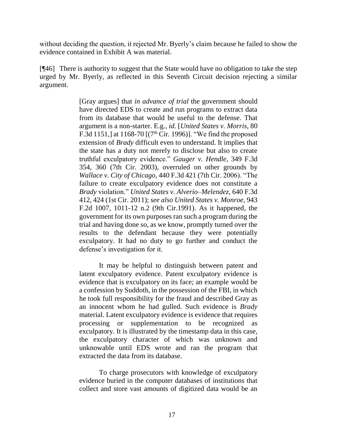without deciding the question, it rejected Mr. Byerly's claim because he failed to show the evidence contained in Exhibit A was material.

[¶46] There is authority to suggest that the State would have no obligation to take the step urged by Mr. Byerly, as reflected in this Seventh Circuit decision rejecting a similar argument.

> [Gray argues] that *in advance of trial* the government should have directed EDS to create and run programs to extract data from its database that would be useful to the defense. That argument is a non-starter. E.g., *id.* [*United States v. Morris*, 80 F.3d 1151,] at 1168-70  $[(7<sup>th</sup> Cir. 1996)]$ . "We find the proposed extension of *[Brady](http://www.westlaw.com/Link/Document/FullText?findType=Y&serNum=1963125353&originatingDoc=Icce19869c22511e0bff4854fb99771ed&refType=RP&originationContext=document&vr=3.0&rs=cblt1.0&transitionType=DocumentItem&contextData=(sc.Search))* difficult even to understand. It implies that the state has a duty not merely to disclose but also to create truthful exculpatory evidence." *Gauger v. Hendle*, 349 F.3d 354, 360 (7th Cir. 2003), overruled on other grounds by *Wallace v. City of Chicago*, 440 F.3d 421 (7th Cir. 2006). "The failure to create exculpatory evidence does not constitute a *[Brady](http://www.westlaw.com/Link/Document/FullText?findType=Y&serNum=1963125353&originatingDoc=Icce19869c22511e0bff4854fb99771ed&refType=RP&originationContext=document&vr=3.0&rs=cblt1.0&transitionType=DocumentItem&contextData=(sc.Search))* violation." *United States v. Alverio–Melendez*, 640 F.3d 412, 424 (1st Cir. 2011); *see also United States v. Monroe*, 943 F.2d 1007, 1011-12 n.2 (9th Cir.1991). As it happened, the government for its own purposes ran such a program during the trial and having done so, as we know, promptly turned over the results to the defendant because they were potentially exculpatory. It had no duty to go further and conduct the defense's investigation for it.

> It may be helpful to distinguish between patent and latent exculpatory evidence. Patent exculpatory evidence is evidence that is exculpatory on its face; an example would be a confession by Suddoth, in the possession of the FBI, in which he took full responsibility for the fraud and described Gray as an innocent whom he had gulled. Such evidence is *[Brady](http://www.westlaw.com/Link/Document/FullText?findType=Y&serNum=1963125353&originatingDoc=Icce19869c22511e0bff4854fb99771ed&refType=RP&originationContext=document&vr=3.0&rs=cblt1.0&transitionType=DocumentItem&contextData=(sc.Search))* material. Latent exculpatory evidence is evidence that requires processing or supplementation to be recognized as exculpatory. It is illustrated by the timestamp data in this case, the exculpatory character of which was unknown and unknowable until EDS wrote and ran the program that extracted the data from its database.

> To charge prosecutors with knowledge of exculpatory evidence buried in the computer databases of institutions that collect and store vast amounts of digitized data would be an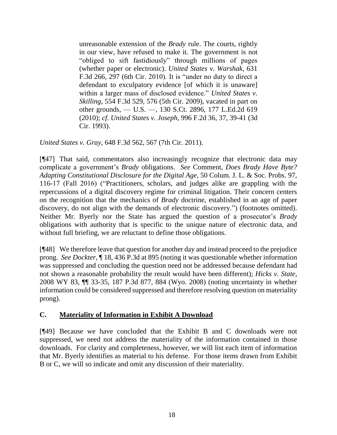unreasonable extension of the *[Brady](http://www.westlaw.com/Link/Document/FullText?findType=Y&serNum=1963125353&originatingDoc=Icce19869c22511e0bff4854fb99771ed&refType=RP&originationContext=document&vr=3.0&rs=cblt1.0&transitionType=DocumentItem&contextData=(sc.Search))* rule. The courts, rightly in our view, have refused to make it. The government is not "obliged to sift fastidiously" through millions of pages (whether paper or electronic). *United States v. Warshak*, 631 F.3d 266, 297 (6th Cir. 2010). It is "under no duty to direct a defendant to exculpatory evidence [of which it is unaware] within a larger mass of disclosed evidence." *United States v. Skilling*, 554 F.3d 529, 576 (5th Cir. 2009), vacated in part on other grounds, - U.S. -, 130 S.Ct. 2896, 177 L.Ed.2d 619 (2010); *cf*. *United States v. Joseph*, 996 F.2d 36, 37, 39-41 (3d Cir. 1993).

*United States v. Gray*, 648 F.3d 562, 567 (7th Cir. 2011).

[¶47] That said, commentators also increasingly recognize that electronic data may complicate a government's *Brady* obligations. *See* Comment, *Does Brady Have Byte? Adapting Constitutional Disclosure for the Digital Age*, 50 Colum. J. L. & Soc. Probs. 97, 116-17 (Fall 2016) ("Practitioners, scholars, and judges alike are grappling with the repercussions of a digital discovery regime for criminal litigation. Their concern centers on the recognition that the mechanics of *Brady* doctrine, established in an age of paper discovery, do not align with the demands of electronic discovery.") (footnotes omitted). Neither Mr. Byerly nor the State has argued the question of a prosecutor's *Brady* obligations with authority that is specific to the unique nature of electronic data, and without full briefing, we are reluctant to define those obligations.

[¶48] We therefore leave that question for another day and instead proceed to the prejudice prong. *See Dockter*, ¶ 18, 436 P.3d at 895 (noting it was questionable whether information was suppressed and concluding the question need not be addressed because defendant had not shown a reasonable probability the result would have been different); *Hicks v. State*, 2008 WY 83, ¶¶ 33-35, 187 P.3d 877, 884 (Wyo. 2008) (noting uncertainty in whether information could be considered suppressed and therefore resolving question on materiality prong).

### **C. Materiality of Information in Exhibit A Download**

[¶49] Because we have concluded that the Exhibit B and C downloads were not suppressed, we need not address the materiality of the information contained in those downloads. For clarity and completeness, however, we will list each item of information that Mr. Byerly identifies as material to his defense. For those items drawn from Exhibit B or C, we will so indicate and omit any discussion of their materiality.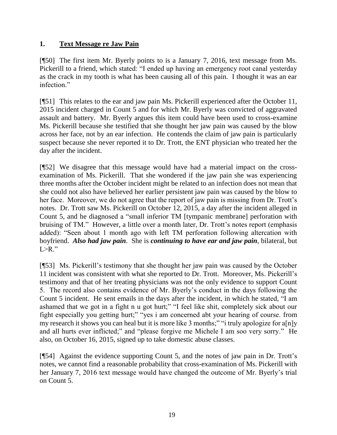### **1. Text Message re Jaw Pain**

[¶50] The first item Mr. Byerly points to is a January 7, 2016, text message from Ms. Pickerill to a friend, which stated: "I ended up having an emergency root canal yesterday as the crack in my tooth is what has been causing all of this pain. I thought it was an ear infection."

[¶51] This relates to the ear and jaw pain Ms. Pickerill experienced after the October 11, 2015 incident charged in Count 5 and for which Mr. Byerly was convicted of aggravated assault and battery. Mr. Byerly argues this item could have been used to cross-examine Ms. Pickerill because she testified that she thought her jaw pain was caused by the blow across her face, not by an ear infection. He contends the claim of jaw pain is particularly suspect because she never reported it to Dr. Trott, the ENT physician who treated her the day after the incident.

[¶52] We disagree that this message would have had a material impact on the crossexamination of Ms. Pickerill. That she wondered if the jaw pain she was experiencing three months after the October incident might be related to an infection does not mean that she could not also have believed her earlier persistent jaw pain was caused by the blow to her face. Moreover, we do not agree that the report of jaw pain is missing from Dr. Trott's notes. Dr. Trott saw Ms. Pickerill on October 12, 2015, a day after the incident alleged in Count 5, and he diagnosed a "small inferior TM [tympanic membrane] perforation with bruising of TM." However, a little over a month later, Dr. Trott's notes report (emphasis added): "Seen about 1 month ago with left TM perforation following altercation with boyfriend. *Also had jaw pain*. She is *continuing to have ear and jaw pain*, bilateral, but  $L > R$ ."

[¶53] Ms. Pickerill's testimony that she thought her jaw pain was caused by the October 11 incident was consistent with what she reported to Dr. Trott. Moreover, Ms. Pickerill's testimony and that of her treating physicians was not the only evidence to support Count 5. The record also contains evidence of Mr. Byerly's conduct in the days following the Count 5 incident. He sent emails in the days after the incident, in which he stated, "I am ashamed that we got in a fight n u got hurt;" "I feel like shit, completely sick about our fight especially you getting hurt;" "yes i am concerned abt your hearing of course. from my research it shows you can heal but it is more like 3 months;" "i truly apologize for a[n]y and all hurts ever inflicted;" and "please forgive me Michele I am soo very sorry." He also, on October 16, 2015, signed up to take domestic abuse classes.

[¶54] Against the evidence supporting Count 5, and the notes of jaw pain in Dr. Trott's notes, we cannot find a reasonable probability that cross-examination of Ms. Pickerill with her January 7, 2016 text message would have changed the outcome of Mr. Byerly's trial on Count 5.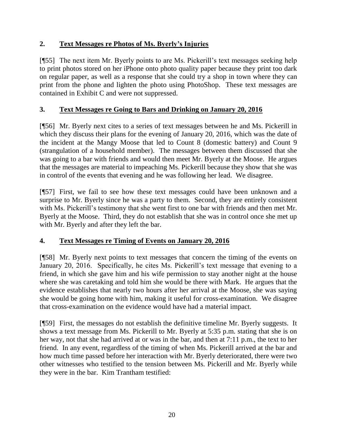## **2. Text Messages re Photos of Ms. Byerly's Injuries**

[¶55] The next item Mr. Byerly points to are Ms. Pickerill's text messages seeking help to print photos stored on her iPhone onto photo quality paper because they print too dark on regular paper, as well as a response that she could try a shop in town where they can print from the phone and lighten the photo using PhotoShop. These text messages are contained in Exhibit C and were not suppressed.

## **3. Text Messages re Going to Bars and Drinking on January 20, 2016**

[¶56] Mr. Byerly next cites to a series of text messages between he and Ms. Pickerill in which they discuss their plans for the evening of January 20, 2016, which was the date of the incident at the Mangy Moose that led to Count 8 (domestic battery) and Count 9 (strangulation of a household member). The messages between them discussed that she was going to a bar with friends and would then meet Mr. Byerly at the Moose. He argues that the messages are material to impeaching Ms. Pickerill because they show that she was in control of the events that evening and he was following her lead. We disagree.

[¶57] First, we fail to see how these text messages could have been unknown and a surprise to Mr. Byerly since he was a party to them. Second, they are entirely consistent with Ms. Pickerill's testimony that she went first to one bar with friends and then met Mr. Byerly at the Moose. Third, they do not establish that she was in control once she met up with Mr. Byerly and after they left the bar.

### **4. Text Messages re Timing of Events on January 20, 2016**

[¶58] Mr. Byerly next points to text messages that concern the timing of the events on January 20, 2016. Specifically, he cites Ms. Pickerill's text message that evening to a friend, in which she gave him and his wife permission to stay another night at the house where she was caretaking and told him she would be there with Mark. He argues that the evidence establishes that nearly two hours after her arrival at the Moose, she was saying she would be going home with him, making it useful for cross-examination. We disagree that cross-examination on the evidence would have had a material impact.

[¶59] First, the messages do not establish the definitive timeline Mr. Byerly suggests. It shows a text message from Ms. Pickerill to Mr. Byerly at 5:35 p.m. stating that she is on her way, not that she had arrived at or was in the bar, and then at 7:11 p.m., the text to her friend. In any event, regardless of the timing of when Ms. Pickerill arrived at the bar and how much time passed before her interaction with Mr. Byerly deteriorated, there were two other witnesses who testified to the tension between Ms. Pickerill and Mr. Byerly while they were in the bar. Kim Trantham testified: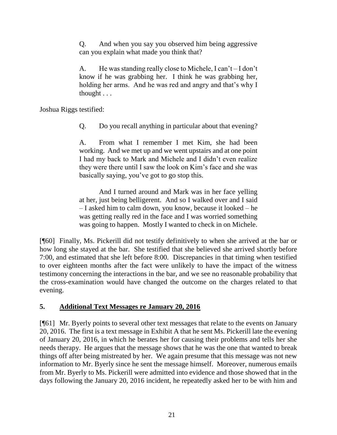Q. And when you say you observed him being aggressive can you explain what made you think that?

A. He was standing really close to Michele, I can't – I don't know if he was grabbing her. I think he was grabbing her, holding her arms. And he was red and angry and that's why I thought . . .

Joshua Riggs testified:

Q. Do you recall anything in particular about that evening?

A. From what I remember I met Kim, she had been working. And we met up and we went upstairs and at one point I had my back to Mark and Michele and I didn't even realize they were there until I saw the look on Kim's face and she was basically saying, you've got to go stop this.

And I turned around and Mark was in her face yelling at her, just being belligerent. And so I walked over and I said – I asked him to calm down, you know, because it looked – he was getting really red in the face and I was worried something was going to happen. Mostly I wanted to check in on Michele.

[¶60] Finally, Ms. Pickerill did not testify definitively to when she arrived at the bar or how long she stayed at the bar. She testified that she believed she arrived shortly before 7:00, and estimated that she left before 8:00. Discrepancies in that timing when testified to over eighteen months after the fact were unlikely to have the impact of the witness testimony concerning the interactions in the bar, and we see no reasonable probability that the cross-examination would have changed the outcome on the charges related to that evening.

# **5. Additional Text Messages re January 20, 2016**

[¶61] Mr. Byerly points to several other text messages that relate to the events on January 20, 2016. The first is a text message in Exhibit A that he sent Ms. Pickerill late the evening of January 20, 2016, in which he berates her for causing their problems and tells her she needs therapy. He argues that the message shows that he was the one that wanted to break things off after being mistreated by her. We again presume that this message was not new information to Mr. Byerly since he sent the message himself. Moreover, numerous emails from Mr. Byerly to Ms. Pickerill were admitted into evidence and those showed that in the days following the January 20, 2016 incident, he repeatedly asked her to be with him and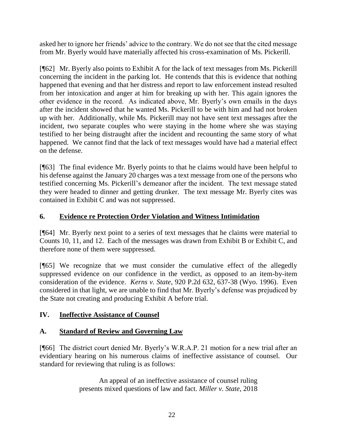asked her to ignore her friends' advice to the contrary. We do not see that the cited message from Mr. Byerly would have materially affected his cross-examination of Ms. Pickerill.

[¶62] Mr. Byerly also points to Exhibit A for the lack of text messages from Ms. Pickerill concerning the incident in the parking lot. He contends that this is evidence that nothing happened that evening and that her distress and report to law enforcement instead resulted from her intoxication and anger at him for breaking up with her. This again ignores the other evidence in the record. As indicated above, Mr. Byerly's own emails in the days after the incident showed that he wanted Ms. Pickerill to be with him and had not broken up with her. Additionally, while Ms. Pickerill may not have sent text messages after the incident, two separate couples who were staying in the home where she was staying testified to her being distraught after the incident and recounting the same story of what happened. We cannot find that the lack of text messages would have had a material effect on the defense.

[¶63] The final evidence Mr. Byerly points to that he claims would have been helpful to his defense against the January 20 charges was a text message from one of the persons who testified concerning Ms. Pickerill's demeanor after the incident. The text message stated they were headed to dinner and getting drunker. The text message Mr. Byerly cites was contained in Exhibit C and was not suppressed.

## **6. Evidence re Protection Order Violation and Witness Intimidation**

[¶64] Mr. Byerly next point to a series of text messages that he claims were material to Counts 10, 11, and 12. Each of the messages was drawn from Exhibit B or Exhibit C, and therefore none of them were suppressed.

[¶65] We recognize that we must consider the cumulative effect of the allegedly suppressed evidence on our confidence in the verdict, as opposed to an item-by-item consideration of the evidence. *Kerns v. State*, 920 P.2d 632, 637-38 (Wyo. 1996). Even considered in that light, we are unable to find that Mr. Byerly's defense was prejudiced by the State not creating and producing Exhibit A before trial.

# **IV. Ineffective Assistance of Counsel**

### **A. Standard of Review and Governing Law**

[¶66] The district court denied Mr. Byerly's W.R.A.P. 21 motion for a new trial after an evidentiary hearing on his numerous claims of ineffective assistance of counsel. Our standard for reviewing that ruling is as follows:

> An appeal of an ineffective assistance of counsel ruling presents mixed questions of law and fact. *[Miller v. State](http://www.westlaw.com/Link/Document/FullText?findType=Y&serNum=2045394339&pubNum=0004645&originatingDoc=Id429f410147111e9aec5b23c3317c9c0&refType=RP&fi=co_pp_sp_4645_1287&originationContext=document&vr=3.0&rs=cblt1.0&transitionType=DocumentItem&contextData=(sc.Search)#co_pp_sp_4645_1287)*, 2018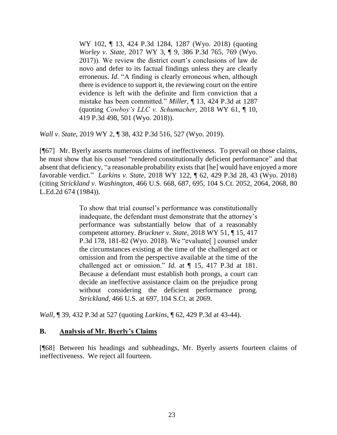[WY 102, ¶ 13, 424 P.3d 1284, 1287 \(Wyo. 2018\)](http://www.westlaw.com/Link/Document/FullText?findType=Y&serNum=2045394339&pubNum=0004645&originatingDoc=Id429f410147111e9aec5b23c3317c9c0&refType=RP&fi=co_pp_sp_4645_1287&originationContext=document&vr=3.0&rs=cblt1.0&transitionType=DocumentItem&contextData=(sc.Search)#co_pp_sp_4645_1287) (quoting *Worley v. State*[, 2017 WY 3, ¶ 9, 386 P.3d 765, 769 \(Wyo.](http://www.westlaw.com/Link/Document/FullText?findType=Y&serNum=2040732901&pubNum=0004645&originatingDoc=Id429f410147111e9aec5b23c3317c9c0&refType=RP&fi=co_pp_sp_4645_769&originationContext=document&vr=3.0&rs=cblt1.0&transitionType=DocumentItem&contextData=(sc.Search)#co_pp_sp_4645_769)  [2017\)\)](http://www.westlaw.com/Link/Document/FullText?findType=Y&serNum=2040732901&pubNum=0004645&originatingDoc=Id429f410147111e9aec5b23c3317c9c0&refType=RP&fi=co_pp_sp_4645_769&originationContext=document&vr=3.0&rs=cblt1.0&transitionType=DocumentItem&contextData=(sc.Search)#co_pp_sp_4645_769). We review the district court's conclusions of law de novo and defer to its factual findings unless they are clearly erroneous. *[Id](http://www.westlaw.com/Link/Document/FullText?findType=Y&serNum=2045394339&pubNum=0006431&originatingDoc=Id429f410147111e9aec5b23c3317c9c0&refType=RP&originationContext=document&vr=3.0&rs=cblt1.0&transitionType=DocumentItem&contextData=(sc.Search))*. "A finding is clearly erroneous when, although there is evidence to support it, the reviewing court on the entire evidence is left with the definite and firm conviction that a mistake has been committed." *Miller*[, ¶ 13, 424 P.3d at 1287](http://www.westlaw.com/Link/Document/FullText?findType=Y&serNum=2045394339&pubNum=0004645&originatingDoc=Id429f410147111e9aec5b23c3317c9c0&refType=RP&fi=co_pp_sp_4645_1287&originationContext=document&vr=3.0&rs=cblt1.0&transitionType=DocumentItem&contextData=(sc.Search)#co_pp_sp_4645_1287) (quoting *[Cowboy's LLC v. Schumacher](http://www.westlaw.com/Link/Document/FullText?findType=Y&serNum=2044695237&pubNum=0004645&originatingDoc=Id429f410147111e9aec5b23c3317c9c0&refType=RP&fi=co_pp_sp_4645_501&originationContext=document&vr=3.0&rs=cblt1.0&transitionType=DocumentItem&contextData=(sc.Search)#co_pp_sp_4645_501)*, 2018 WY 61, ¶ 10, [419 P.3d 498, 501 \(Wyo. 2018\)\)](http://www.westlaw.com/Link/Document/FullText?findType=Y&serNum=2044695237&pubNum=0004645&originatingDoc=Id429f410147111e9aec5b23c3317c9c0&refType=RP&fi=co_pp_sp_4645_501&originationContext=document&vr=3.0&rs=cblt1.0&transitionType=DocumentItem&contextData=(sc.Search)#co_pp_sp_4645_501).

*Wall v. State*, 2019 WY 2, ¶ 38, 432 P.3d 516, 527 (Wyo. 2019).

[¶67] Mr. Byerly asserts numerous claims of ineffectiveness. To prevail on those claims, he must show that his counsel "rendered constitutionally deficient performance" and that absent that deficiency, "a reasonable probability exists that [he] would have enjoyed a more favorable verdict." *Larkins v. State*[, 2018 WY 122, ¶ 62, 429 P.3d 28, 43 \(Wyo. 2018\)](http://www.westlaw.com/Link/Document/FullText?findType=Y&serNum=2045861852&pubNum=0004645&originatingDoc=Id429f410147111e9aec5b23c3317c9c0&refType=RP&fi=co_pp_sp_4645_43&originationContext=document&vr=3.0&rs=cblt1.0&transitionType=DocumentItem&contextData=(sc.Search)#co_pp_sp_4645_43) (citing *Strickland v. Washington*[, 466 U.S. 668, 687, 695, 104 S.Ct. 2052, 2064, 2068, 80](http://www.westlaw.com/Link/Document/FullText?findType=Y&serNum=1984123336&pubNum=0000708&originatingDoc=Id429f410147111e9aec5b23c3317c9c0&refType=RP&fi=co_pp_sp_708_2064&originationContext=document&vr=3.0&rs=cblt1.0&transitionType=DocumentItem&contextData=(sc.Search)#co_pp_sp_708_2064)  [L.Ed.2d 674 \(1984\)\)](http://www.westlaw.com/Link/Document/FullText?findType=Y&serNum=1984123336&pubNum=0000708&originatingDoc=Id429f410147111e9aec5b23c3317c9c0&refType=RP&fi=co_pp_sp_708_2064&originationContext=document&vr=3.0&rs=cblt1.0&transitionType=DocumentItem&contextData=(sc.Search)#co_pp_sp_708_2064).

> To show that trial counsel's performance was constitutionally inadequate, the defendant must demonstrate that the attorney's performance was substantially below that of a reasonably competent attorney. *Bruckner v. State*[, 2018 WY 51, ¶ 15, 417](http://www.westlaw.com/Link/Document/FullText?findType=Y&serNum=2044562371&pubNum=0004645&originatingDoc=Id429f410147111e9aec5b23c3317c9c0&refType=RP&fi=co_pp_sp_4645_181&originationContext=document&vr=3.0&rs=cblt1.0&transitionType=DocumentItem&contextData=(sc.Search)#co_pp_sp_4645_181)  [P.3d 178, 181-82 \(Wyo. 2018\).](http://www.westlaw.com/Link/Document/FullText?findType=Y&serNum=2044562371&pubNum=0004645&originatingDoc=Id429f410147111e9aec5b23c3317c9c0&refType=RP&fi=co_pp_sp_4645_181&originationContext=document&vr=3.0&rs=cblt1.0&transitionType=DocumentItem&contextData=(sc.Search)#co_pp_sp_4645_181) We "evaluate[ ] counsel under the circumstances existing at the time of the challenged act or omission and from the perspective available at the time of the challenged act or omission." *Id*[. at ¶ 15, 417 P.3d at 181.](http://www.westlaw.com/Link/Document/FullText?findType=Y&serNum=2044562371&pubNum=0004645&originatingDoc=Id429f410147111e9aec5b23c3317c9c0&refType=RP&fi=co_pp_sp_4645_181&originationContext=document&vr=3.0&rs=cblt1.0&transitionType=DocumentItem&contextData=(sc.Search)#co_pp_sp_4645_181) Because a defendant must establish both prongs, a court can decide an ineffective assistance claim on the prejudice prong without considering the deficient performance prong. *Strickland*[, 466 U.S. at 697, 104 S.Ct. at 2069.](http://www.westlaw.com/Link/Document/FullText?findType=Y&serNum=1984123336&pubNum=0000708&originatingDoc=Id429f410147111e9aec5b23c3317c9c0&refType=RP&fi=co_pp_sp_708_2069&originationContext=document&vr=3.0&rs=cblt1.0&transitionType=DocumentItem&contextData=(sc.Search)#co_pp_sp_708_2069)

*Wall*, ¶ 39, 432 P.3d at 527 (quoting *Larkins*[, ¶ 62, 429 P.3d at 43-44\)](http://www.westlaw.com/Link/Document/FullText?findType=Y&serNum=2045861852&pubNum=0004645&originatingDoc=Id429f410147111e9aec5b23c3317c9c0&refType=RP&fi=co_pp_sp_4645_43&originationContext=document&vr=3.0&rs=cblt1.0&transitionType=DocumentItem&contextData=(sc.Search)#co_pp_sp_4645_43).

#### **B. Analysis of Mr. Byerly's Claims**

[¶68] Between his headings and subheadings, Mr. Byerly asserts fourteen claims of ineffectiveness. We reject all fourteen.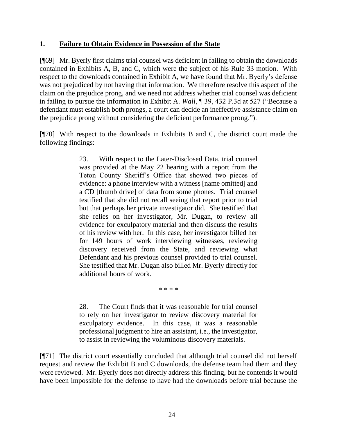#### **1. Failure to Obtain Evidence in Possession of the State**

[¶69] Mr. Byerly first claims trial counsel was deficient in failing to obtain the downloads contained in Exhibits A, B, and C, which were the subject of his Rule 33 motion. With respect to the downloads contained in Exhibit A, we have found that Mr. Byerly's defense was not prejudiced by not having that information. We therefore resolve this aspect of the claim on the prejudice prong, and we need not address whether trial counsel was deficient in failing to pursue the information in Exhibit A. *Wall*, ¶ 39, 432 P.3d at 527 ("Because a defendant must establish both prongs, a court can decide an ineffective assistance claim on the prejudice prong without considering the deficient performance prong.").

[¶70] With respect to the downloads in Exhibits B and C, the district court made the following findings:

> 23. With respect to the Later-Disclosed Data, trial counsel was provided at the May 22 hearing with a report from the Teton County Sheriff's Office that showed two pieces of evidence: a phone interview with a witness [name omitted] and a CD [thumb drive] of data from some phones. Trial counsel testified that she did not recall seeing that report prior to trial but that perhaps her private investigator did. She testified that she relies on her investigator, Mr. Dugan, to review all evidence for exculpatory material and then discuss the results of his review with her. In this case, her investigator billed her for 149 hours of work interviewing witnesses, reviewing discovery received from the State, and reviewing what Defendant and his previous counsel provided to trial counsel. She testified that Mr. Dugan also billed Mr. Byerly directly for additional hours of work.

> > \* \* \* \*

28. The Court finds that it was reasonable for trial counsel to rely on her investigator to review discovery material for exculpatory evidence. In this case, it was a reasonable professional judgment to hire an assistant, i.e., the investigator, to assist in reviewing the voluminous discovery materials.

[¶71] The district court essentially concluded that although trial counsel did not herself request and review the Exhibit B and C downloads, the defense team had them and they were reviewed. Mr. Byerly does not directly address this finding, but he contends it would have been impossible for the defense to have had the downloads before trial because the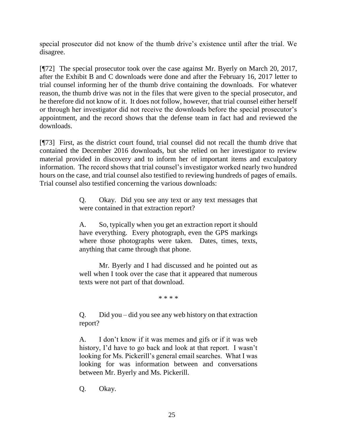special prosecutor did not know of the thumb drive's existence until after the trial. We disagree.

[¶72] The special prosecutor took over the case against Mr. Byerly on March 20, 2017, after the Exhibit B and C downloads were done and after the February 16, 2017 letter to trial counsel informing her of the thumb drive containing the downloads. For whatever reason, the thumb drive was not in the files that were given to the special prosecutor, and he therefore did not know of it. It does not follow, however, that trial counsel either herself or through her investigator did not receive the downloads before the special prosecutor's appointment, and the record shows that the defense team in fact had and reviewed the downloads.

[¶73] First, as the district court found, trial counsel did not recall the thumb drive that contained the December 2016 downloads, but she relied on her investigator to review material provided in discovery and to inform her of important items and exculpatory information. The record shows that trial counsel's investigator worked nearly two hundred hours on the case, and trial counsel also testified to reviewing hundreds of pages of emails. Trial counsel also testified concerning the various downloads:

> Q. Okay. Did you see any text or any text messages that were contained in that extraction report?

> A. So, typically when you get an extraction report it should have everything. Every photograph, even the GPS markings where those photographs were taken. Dates, times, texts, anything that came through that phone.

> Mr. Byerly and I had discussed and he pointed out as well when I took over the case that it appeared that numerous texts were not part of that download.

> > \* \* \* \*

Q. Did you – did you see any web history on that extraction report?

A. I don't know if it was memes and gifs or if it was web history, I'd have to go back and look at that report. I wasn't looking for Ms. Pickerill's general email searches. What I was looking for was information between and conversations between Mr. Byerly and Ms. Pickerill.

Q. Okay.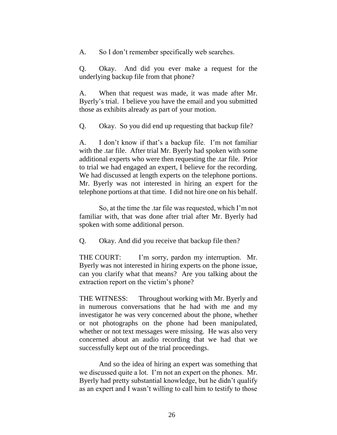A. So I don't remember specifically web searches.

Q. Okay. And did you ever make a request for the underlying backup file from that phone?

A. When that request was made, it was made after Mr. Byerly's trial. I believe you have the email and you submitted those as exhibits already as part of your motion.

Q. Okay. So you did end up requesting that backup file?

A. I don't know if that's a backup file. I'm not familiar with the .tar file. After trial Mr. Byerly had spoken with some additional experts who were then requesting the .tar file. Prior to trial we had engaged an expert, I believe for the recording. We had discussed at length experts on the telephone portions. Mr. Byerly was not interested in hiring an expert for the telephone portions at that time. I did not hire one on his behalf.

So, at the time the .tar file was requested, which I'm not familiar with, that was done after trial after Mr. Byerly had spoken with some additional person.

Q. Okay. And did you receive that backup file then?

THE COURT: I'm sorry, pardon my interruption. Mr. Byerly was not interested in hiring experts on the phone issue, can you clarify what that means? Are you talking about the extraction report on the victim's phone?

THE WITNESS: Throughout working with Mr. Byerly and in numerous conversations that he had with me and my investigator he was very concerned about the phone, whether or not photographs on the phone had been manipulated, whether or not text messages were missing. He was also very concerned about an audio recording that we had that we successfully kept out of the trial proceedings.

And so the idea of hiring an expert was something that we discussed quite a lot. I'm not an expert on the phones. Mr. Byerly had pretty substantial knowledge, but he didn't qualify as an expert and I wasn't willing to call him to testify to those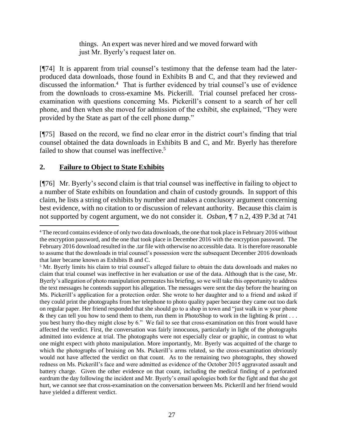things. An expert was never hired and we moved forward with just Mr. Byerly's request later on.

[¶74] It is apparent from trial counsel's testimony that the defense team had the laterproduced data downloads, those found in Exhibits B and C, and that they reviewed and discussed the information.<sup>4</sup> That is further evidenced by trial counsel's use of evidence from the downloads to cross-examine Ms. Pickerill. Trial counsel prefaced her crossexamination with questions concerning Ms. Pickerill's consent to a search of her cell phone, and then when she moved for admission of the exhibit, she explained, "They were provided by the State as part of the cell phone dump."

[¶75] Based on the record, we find no clear error in the district court's finding that trial counsel obtained the data downloads in Exhibits B and C, and Mr. Byerly has therefore failed to show that counsel was ineffective.<sup>5</sup>

## **2. Failure to Object to State Exhibits**

[¶76] Mr. Byerly's second claim is that trial counsel was ineffective in failing to object to a number of State exhibits on foundation and chain of custody grounds. In support of this claim, he lists a string of exhibits by number and makes a conclusory argument concerning best evidence, with no citation to or discussion of relevant authority. Because this claim is not supported by cogent argument, we do not consider it. *Osban*, ¶ 7 n.2, 439 P.3d at 741

 <sup>4</sup> The record contains evidence of only two data downloads, the one that took place in February 2016 without the encryption password, and the one that took place in December 2016 with the encryption password. The February 2016 download resulted in the .tar file with otherwise no accessible data. It is therefore reasonable to assume that the downloads in trial counsel's possession were the subsequent December 2016 downloads that later became known as Exhibits B and C.

<sup>&</sup>lt;sup>5</sup> Mr. Byerly limits his claim to trial counsel's alleged failure to obtain the data downloads and makes no claim that trial counsel was ineffective in her evaluation or use of the data. Although that is the case, Mr. Byerly's allegation of photo manipulation permeates his briefing, so we will take this opportunity to address the text messages he contends support his allegation. The messages were sent the day before the hearing on Ms. Pickerill's application for a protection order. She wrote to her daughter and to a friend and asked if they could print the photographs from her telephone to photo quality paper because they came out too dark on regular paper. Her friend responded that she should go to a shop in town and "just walk in w your phone & they can tell you how to send them to them, run them in PhotoShop to work in the lighting & print ... you best hurry tho-they might close by 6." We fail to see that cross-examination on this front would have affected the verdict. First, the conversation was fairly innocuous, particularly in light of the photographs admitted into evidence at trial. The photographs were not especially clear or graphic, in contrast to what one might expect with photo manipulation. More importantly, Mr. Byerly was acquitted of the charge to which the photographs of bruising on Ms. Pickerill's arms related, so the cross-examination obviously would not have affected the verdict on that count. As to the remaining two photographs, they showed redness on Ms. Pickerill's face and were admitted as evidence of the October 2015 aggravated assault and battery charge. Given the other evidence on that count, including the medical finding of a perforated eardrum the day following the incident and Mr. Byerly's email apologies both for the fight and that she got hurt, we cannot see that cross-examination on the conversation between Ms. Pickerill and her friend would have yielded a different verdict.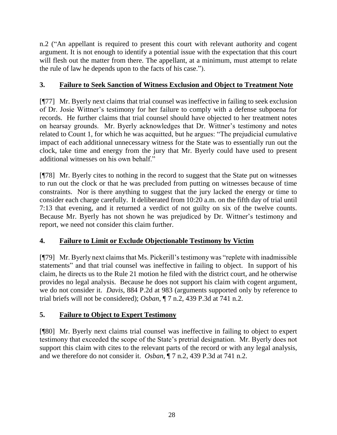n.2 ("An appellant is required to present this court with relevant authority and cogent argument. It is not enough to identify a potential issue with the expectation that this court will flesh out the matter from there. The appellant, at a minimum, must attempt to relate the rule of law he depends upon to the facts of his case.").

## **3. Failure to Seek Sanction of Witness Exclusion and Object to Treatment Note**

[¶77] Mr. Byerly next claims that trial counsel was ineffective in failing to seek exclusion of Dr. Josie Wittner's testimony for her failure to comply with a defense subpoena for records. He further claims that trial counsel should have objected to her treatment notes on hearsay grounds. Mr. Byerly acknowledges that Dr. Wittner's testimony and notes related to Count 1, for which he was acquitted, but he argues: "The prejudicial cumulative impact of each additional unnecessary witness for the State was to essentially run out the clock, take time and energy from the jury that Mr. Byerly could have used to present additional witnesses on his own behalf."

[¶78] Mr. Byerly cites to nothing in the record to suggest that the State put on witnesses to run out the clock or that he was precluded from putting on witnesses because of time constraints. Nor is there anything to suggest that the jury lacked the energy or time to consider each charge carefully. It deliberated from 10:20 a.m. on the fifth day of trial until 7:13 that evening, and it returned a verdict of not guilty on six of the twelve counts. Because Mr. Byerly has not shown he was prejudiced by Dr. Wittner's testimony and report, we need not consider this claim further.

# **4. Failure to Limit or Exclude Objectionable Testimony by Victim**

[¶79] Mr. Byerly next claims that Ms. Pickerill's testimony was "replete with inadmissible statements" and that trial counsel was ineffective in failing to object. In support of his claim, he directs us to the Rule 21 motion he filed with the district court, and he otherwise provides no legal analysis. Because he does not support his claim with cogent argument, we do not consider it. *Davis*, 884 P.2d at 983 (arguments supported only by reference to trial briefs will not be considered); *Osban*, ¶ 7 n.2, 439 P.3d at 741 n.2.

# **5. Failure to Object to Expert Testimony**

[¶80] Mr. Byerly next claims trial counsel was ineffective in failing to object to expert testimony that exceeded the scope of the State's pretrial designation. Mr. Byerly does not support this claim with cites to the relevant parts of the record or with any legal analysis, and we therefore do not consider it. *Osban*, ¶ 7 n.2, 439 P.3d at 741 n.2.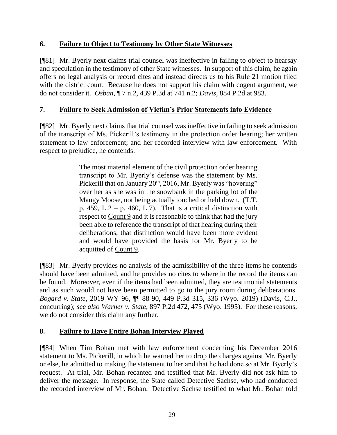#### **6. Failure to Object to Testimony by Other State Witnesses**

[¶81] Mr. Byerly next claims trial counsel was ineffective in failing to object to hearsay and speculation in the testimony of other State witnesses. In support of this claim, he again offers no legal analysis or record cites and instead directs us to his Rule 21 motion filed with the district court. Because he does not support his claim with cogent argument, we do not consider it. *Osban*, ¶ 7 n.2, 439 P.3d at 741 n.2; *Davis*, 884 P.2d at 983.

### **7. Failure to Seek Admission of Victim's Prior Statements into Evidence**

[¶82] Mr. Byerly next claims that trial counsel was ineffective in failing to seek admission of the transcript of Ms. Pickerill's testimony in the protection order hearing; her written statement to law enforcement; and her recorded interview with law enforcement. With respect to prejudice, he contends:

> The most material element of the civil protection order hearing transcript to Mr. Byerly's defense was the statement by Ms. Pickerill that on January 20<sup>th</sup>, 2016, Mr. Byerly was "hovering" over her as she was in the snowbank in the parking lot of the Mangy Moose, not being actually touched or held down. (T.T. p. 459, L.2 – p. 460, L.7). That is a critical distinction with respect to Count 9 and it is reasonable to think that had the jury been able to reference the transcript of that hearing during their deliberations, that distinction would have been more evident and would have provided the basis for Mr. Byerly to be acquitted of Count 9.

[¶83] Mr. Byerly provides no analysis of the admissibility of the three items he contends should have been admitted, and he provides no cites to where in the record the items can be found. Moreover, even if the items had been admitted, they are testimonial statements and as such would not have been permitted to go to the jury room during deliberations. *Bogard v. State*, 2019 WY 96, ¶¶ 88-90, 449 P.3d 315, 336 (Wyo. 2019) (Davis, C.J., concurring); *see also Warner v. State*[, 897 P.2d 472, 475 \(Wyo. 1995\).](http://www.westlaw.com/Link/Document/FullText?findType=Y&serNum=1995131950&pubNum=0000661&originatingDoc=Id43a3760d5b611e9a1eadf28d23ada74&refType=RP&fi=co_pp_sp_661_475&originationContext=document&vr=3.0&rs=cblt1.0&transitionType=DocumentItem&contextData=(sc.Search)#co_pp_sp_661_475) For these reasons, we do not consider this claim any further.

### **8. Failure to Have Entire Bohan Interview Played**

[¶84] When Tim Bohan met with law enforcement concerning his December 2016 statement to Ms. Pickerill, in which he warned her to drop the charges against Mr. Byerly or else, he admitted to making the statement to her and that he had done so at Mr. Byerly's request. At trial, Mr. Bohan recanted and testified that Mr. Byerly did not ask him to deliver the message. In response, the State called Detective Sachse, who had conducted the recorded interview of Mr. Bohan. Detective Sachse testified to what Mr. Bohan told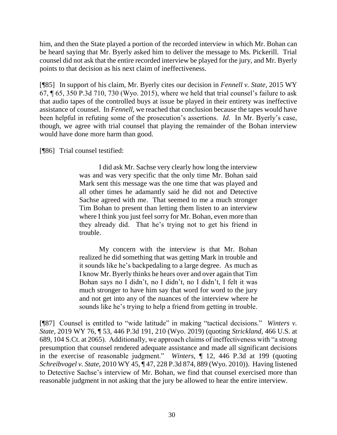him, and then the State played a portion of the recorded interview in which Mr. Bohan can be heard saying that Mr. Byerly asked him to deliver the message to Ms. Pickerill. Trial counsel did not ask that the entire recorded interview be played for the jury, and Mr. Byerly points to that decision as his next claim of ineffectiveness.

[¶85] In support of his claim, Mr. Byerly cites our decision in *Fennell v. State*, 2015 WY 67, ¶ 65, 350 P.3d 710, 730 (Wyo. 2015), where we held that trial counsel's failure to ask that audio tapes of the controlled buys at issue be played in their entirety was ineffective assistance of counsel. In *Fennell*, we reached that conclusion because the tapes would have been helpful in refuting some of the prosecution's assertions. *Id*. In Mr. Byerly's case, though, we agree with trial counsel that playing the remainder of the Bohan interview would have done more harm than good.

[¶86] Trial counsel testified:

I did ask Mr. Sachse very clearly how long the interview was and was very specific that the only time Mr. Bohan said Mark sent this message was the one time that was played and all other times he adamantly said he did not and Detective Sachse agreed with me. That seemed to me a much stronger Tim Bohan to present than letting them listen to an interview where I think you just feel sorry for Mr. Bohan, even more than they already did. That he's trying not to get his friend in trouble.

My concern with the interview is that Mr. Bohan realized he did something that was getting Mark in trouble and it sounds like he's backpedaling to a large degree. As much as I know Mr. Byerly thinks he hears over and over again that Tim Bohan says no I didn't, no I didn't, no I didn't, I felt it was much stronger to have him say that word for word to the jury and not get into any of the nuances of the interview where he sounds like he's trying to help a friend from getting in trouble.

[¶87] Counsel is entitled to "wide latitude" in making "tactical decisions." *Winters v. State*, 2019 WY 76, ¶ 53, 446 P.3d 191, 210 (Wyo. 2019) (quoting *Strickland*[, 466 U.S. at](http://www.westlaw.com/Link/Document/FullText?findType=Y&serNum=1984123336&pubNum=0000708&originatingDoc=I1e37f7f0acc511e9a3ecec4a01914b9c&refType=RP&fi=co_pp_sp_708_2065&originationContext=document&vr=3.0&rs=cblt1.0&transitionType=DocumentItem&contextData=(sc.Keycite)#co_pp_sp_708_2065)  [689, 104 S.Ct. at 2065\)](http://www.westlaw.com/Link/Document/FullText?findType=Y&serNum=1984123336&pubNum=0000708&originatingDoc=I1e37f7f0acc511e9a3ecec4a01914b9c&refType=RP&fi=co_pp_sp_708_2065&originationContext=document&vr=3.0&rs=cblt1.0&transitionType=DocumentItem&contextData=(sc.Keycite)#co_pp_sp_708_2065). Additionally, we approach claims of ineffectiveness with "a strong presumption that counsel rendered adequate assistance and made all significant decisions in the exercise of reasonable judgment." *Winters*, ¶ 12, 446 P.3d at 199 (quoting *Schreibvogel v. State*[, 2010 WY 45, ¶ 47, 228 P.3d 874, 889 \(Wyo. 2010\)\)](http://www.westlaw.com/Link/Document/FullText?findType=Y&serNum=2021772801&pubNum=0004645&originatingDoc=I1e37f7f0acc511e9a3ecec4a01914b9c&refType=RP&fi=co_pp_sp_4645_889&originationContext=document&vr=3.0&rs=cblt1.0&transitionType=DocumentItem&contextData=(sc.Keycite)#co_pp_sp_4645_889). Having listened to Detective Sachse's interview of Mr. Bohan, we find that counsel exercised more than reasonable judgment in not asking that the jury be allowed to hear the entire interview.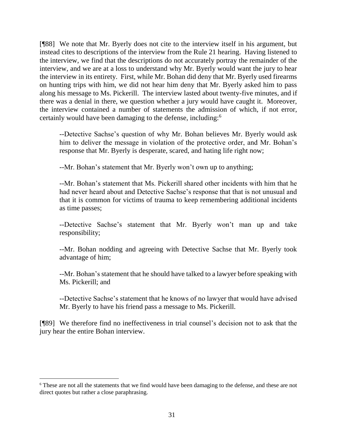[¶88] We note that Mr. Byerly does not cite to the interview itself in his argument, but instead cites to descriptions of the interview from the Rule 21 hearing. Having listened to the interview, we find that the descriptions do not accurately portray the remainder of the interview, and we are at a loss to understand why Mr. Byerly would want the jury to hear the interview in its entirety. First, while Mr. Bohan did deny that Mr. Byerly used firearms on hunting trips with him, we did not hear him deny that Mr. Byerly asked him to pass along his message to Ms. Pickerill. The interview lasted about twenty-five minutes, and if there was a denial in there, we question whether a jury would have caught it. Moreover, the interview contained a number of statements the admission of which, if not error, certainly would have been damaging to the defense, including:<sup>6</sup>

--Detective Sachse's question of why Mr. Bohan believes Mr. Byerly would ask him to deliver the message in violation of the protective order, and Mr. Bohan's response that Mr. Byerly is desperate, scared, and hating life right now;

--Mr. Bohan's statement that Mr. Byerly won't own up to anything;

--Mr. Bohan's statement that Ms. Pickerill shared other incidents with him that he had never heard about and Detective Sachse's response that that is not unusual and that it is common for victims of trauma to keep remembering additional incidents as time passes;

--Detective Sachse's statement that Mr. Byerly won't man up and take responsibility;

--Mr. Bohan nodding and agreeing with Detective Sachse that Mr. Byerly took advantage of him;

--Mr. Bohan's statement that he should have talked to a lawyer before speaking with Ms. Pickerill; and

--Detective Sachse's statement that he knows of no lawyer that would have advised Mr. Byerly to have his friend pass a message to Ms. Pickerill.

[¶89] We therefore find no ineffectiveness in trial counsel's decision not to ask that the jury hear the entire Bohan interview.

l

<sup>6</sup> These are not all the statements that we find would have been damaging to the defense, and these are not direct quotes but rather a close paraphrasing.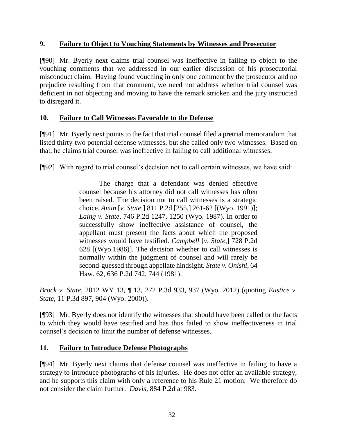#### **9. Failure to Object to Vouching Statements by Witnesses and Prosecutor**

[¶90] Mr. Byerly next claims trial counsel was ineffective in failing to object to the vouching comments that we addressed in our earlier discussion of his prosecutorial misconduct claim. Having found vouching in only one comment by the prosecutor and no prejudice resulting from that comment, we need not address whether trial counsel was deficient in not objecting and moving to have the remark stricken and the jury instructed to disregard it.

#### **10. Failure to Call Witnesses Favorable to the Defense**

[¶91] Mr. Byerly next points to the fact that trial counsel filed a pretrial memorandum that listed thirty-two potential defense witnesses, but she called only two witnesses. Based on that, he claims trial counsel was ineffective in failing to call additional witnesses.

[¶92] With regard to trial counsel's decision not to call certain witnesses, we have said:

The charge that a defendant was denied effective counsel because his attorney did not call witnesses has often been raised. The decision not to call witnesses is a strategic choice. *Amin* [*v. State*,] 811 P.2d [255,] 261-62 [(Wyo. 1991)]; *Laing v. State*, 746 P.2d 1247, 1250 (Wyo. 1987). In order to successfully show ineffective assistance of counsel, the appellant must present the facts about which the proposed witnesses would have testified. *Campbell* [*v. State*,] 728 P.2d 628 [(Wyo.1986)]. The decision whether to call witnesses is normally within the judgment of counsel and will rarely be second-guessed through appellate hindsight. *[State v. Onishi](http://www.westlaw.com/Link/Document/FullText?findType=Y&serNum=1981149979&pubNum=0000661&originatingDoc=Idf27f42950f611e1a11e96c51301c5ef&refType=RP&fi=co_pp_sp_661_744&originationContext=document&vr=3.0&rs=cblt1.0&transitionType=DocumentItem&contextData=(sc.Search)#co_pp_sp_661_744)*, 64 [Haw. 62, 636 P.2d 742, 744 \(1981\).](http://www.westlaw.com/Link/Document/FullText?findType=Y&serNum=1981149979&pubNum=0000661&originatingDoc=Idf27f42950f611e1a11e96c51301c5ef&refType=RP&fi=co_pp_sp_661_744&originationContext=document&vr=3.0&rs=cblt1.0&transitionType=DocumentItem&contextData=(sc.Search)#co_pp_sp_661_744)

*Brock v. State*, 2012 WY 13, ¶ 13, 272 P.3d 933, 937 (Wyo. 2012) (quoting *[Eustice v.](http://www.westlaw.com/Link/Document/FullText?findType=Y&serNum=2000561207&pubNum=0004645&originatingDoc=Idf27f42950f611e1a11e96c51301c5ef&refType=RP&fi=co_pp_sp_4645_904&originationContext=document&vr=3.0&rs=cblt1.0&transitionType=DocumentItem&contextData=(sc.Search)#co_pp_sp_4645_904)  State*[, 11 P.3d 897, 904 \(Wyo.](http://www.westlaw.com/Link/Document/FullText?findType=Y&serNum=2000561207&pubNum=0004645&originatingDoc=Idf27f42950f611e1a11e96c51301c5ef&refType=RP&fi=co_pp_sp_4645_904&originationContext=document&vr=3.0&rs=cblt1.0&transitionType=DocumentItem&contextData=(sc.Search)#co_pp_sp_4645_904) 2000)).

[¶93] Mr. Byerly does not identify the witnesses that should have been called or the facts to which they would have testified and has thus failed to show ineffectiveness in trial counsel's decision to limit the number of defense witnesses.

#### **11. Failure to Introduce Defense Photographs**

[¶94] Mr. Byerly next claims that defense counsel was ineffective in failing to have a strategy to introduce photographs of his injuries. He does not offer an available strategy, and he supports this claim with only a reference to his Rule 21 motion. We therefore do not consider the claim further. *Davis*, 884 P.2d at 983.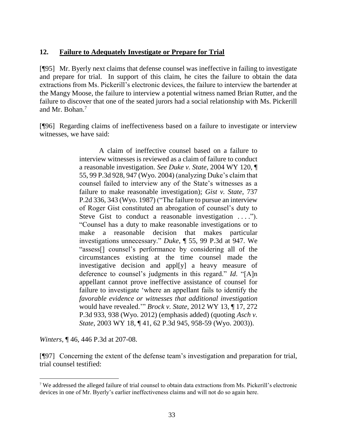#### **12. Failure to Adequately Investigate or Prepare for Trial**

[¶95] Mr. Byerly next claims that defense counsel was ineffective in failing to investigate and prepare for trial. In support of this claim, he cites the failure to obtain the data extractions from Ms. Pickerill's electronic devices, the failure to interview the bartender at the Mangy Moose, the failure to interview a potential witness named Brian Rutter, and the failure to discover that one of the seated jurors had a social relationship with Ms. Pickerill and Mr. Bohan.<sup>7</sup>

[¶96] Regarding claims of ineffectiveness based on a failure to investigate or interview witnesses, we have said:

> A claim of ineffective counsel based on a failure to interview witnesses is reviewed as a claim of failure to conduct a reasonable investigation. *See Duke v. State*[, 2004 WY 120, ¶](http://www.westlaw.com/Link/Document/FullText?findType=Y&serNum=2005375941&pubNum=0004645&originatingDoc=I1e37f7f0acc511e9a3ecec4a01914b9c&refType=RP&fi=co_pp_sp_4645_947&originationContext=document&vr=3.0&rs=cblt1.0&transitionType=DocumentItem&contextData=(sc.Keycite)#co_pp_sp_4645_947)  [55, 99 P.3d 928, 947 \(Wyo. 2004\)](http://www.westlaw.com/Link/Document/FullText?findType=Y&serNum=2005375941&pubNum=0004645&originatingDoc=I1e37f7f0acc511e9a3ecec4a01914b9c&refType=RP&fi=co_pp_sp_4645_947&originationContext=document&vr=3.0&rs=cblt1.0&transitionType=DocumentItem&contextData=(sc.Keycite)#co_pp_sp_4645_947) (analyzing Duke's claim that counsel failed to interview any of the State's witnesses as a failure to make reasonable investigation); *[Gist v. State](http://www.westlaw.com/Link/Document/FullText?findType=Y&serNum=1987065067&pubNum=0000661&originatingDoc=I1e37f7f0acc511e9a3ecec4a01914b9c&refType=RP&fi=co_pp_sp_661_343&originationContext=document&vr=3.0&rs=cblt1.0&transitionType=DocumentItem&contextData=(sc.Keycite)#co_pp_sp_661_343)*, 737 [P.2d 336, 343 \(Wyo. 1987\)](http://www.westlaw.com/Link/Document/FullText?findType=Y&serNum=1987065067&pubNum=0000661&originatingDoc=I1e37f7f0acc511e9a3ecec4a01914b9c&refType=RP&fi=co_pp_sp_661_343&originationContext=document&vr=3.0&rs=cblt1.0&transitionType=DocumentItem&contextData=(sc.Keycite)#co_pp_sp_661_343) ("The failure to pursue an interview of Roger Gist constituted an abrogation of counsel's duty to Steve Gist to conduct a reasonable investigation ...."). "Counsel has a duty to make reasonable investigations or to make a reasonable decision that makes particular investigations unnecessary." *Duke*[, ¶ 55, 99 P.3d at 947.](http://www.westlaw.com/Link/Document/FullText?findType=Y&serNum=2005375941&pubNum=0004645&originatingDoc=I1e37f7f0acc511e9a3ecec4a01914b9c&refType=RP&fi=co_pp_sp_4645_947&originationContext=document&vr=3.0&rs=cblt1.0&transitionType=DocumentItem&contextData=(sc.Keycite)#co_pp_sp_4645_947) We "assess[] counsel's performance by considering all of the circumstances existing at the time counsel made the investigative decision and appl[y] a heavy measure of deference to counsel's judgments in this regard." *[Id](http://www.westlaw.com/Link/Document/FullText?findType=Y&serNum=2005375941&pubNum=0006431&originatingDoc=I1e37f7f0acc511e9a3ecec4a01914b9c&refType=RP&originationContext=document&vr=3.0&rs=cblt1.0&transitionType=DocumentItem&contextData=(sc.Keycite))*. "[A]n appellant cannot prove ineffective assistance of counsel for failure to investigate 'where an appellant fails to identify the *favorable evidence or witnesses that additional investigation*  would have revealed.'" *Brock v. State*[, 2012 WY 13, ¶ 17, 272](http://www.westlaw.com/Link/Document/FullText?findType=Y&serNum=2026993294&pubNum=0004645&originatingDoc=I1e37f7f0acc511e9a3ecec4a01914b9c&refType=RP&fi=co_pp_sp_4645_938&originationContext=document&vr=3.0&rs=cblt1.0&transitionType=DocumentItem&contextData=(sc.Keycite)#co_pp_sp_4645_938)  [P.3d 933, 938 \(Wyo. 2012\)](http://www.westlaw.com/Link/Document/FullText?findType=Y&serNum=2026993294&pubNum=0004645&originatingDoc=I1e37f7f0acc511e9a3ecec4a01914b9c&refType=RP&fi=co_pp_sp_4645_938&originationContext=document&vr=3.0&rs=cblt1.0&transitionType=DocumentItem&contextData=(sc.Keycite)#co_pp_sp_4645_938) (emphasis added) (quoting *[Asch v.](http://www.westlaw.com/Link/Document/FullText?findType=Y&serNum=2003136918&pubNum=0004645&originatingDoc=I1e37f7f0acc511e9a3ecec4a01914b9c&refType=RP&fi=co_pp_sp_4645_958&originationContext=document&vr=3.0&rs=cblt1.0&transitionType=DocumentItem&contextData=(sc.Keycite)#co_pp_sp_4645_958)  State*[, 2003 WY 18, ¶ 41, 62 P.3d 945, 958-59 \(Wyo. 2003\)\)](http://www.westlaw.com/Link/Document/FullText?findType=Y&serNum=2003136918&pubNum=0004645&originatingDoc=I1e37f7f0acc511e9a3ecec4a01914b9c&refType=RP&fi=co_pp_sp_4645_958&originationContext=document&vr=3.0&rs=cblt1.0&transitionType=DocumentItem&contextData=(sc.Keycite)#co_pp_sp_4645_958).

*Winters*, ¶ 46, 446 P.3d at 207-08.

l

[¶97] Concerning the extent of the defense team's investigation and preparation for trial, trial counsel testified:

<sup>7</sup> We addressed the alleged failure of trial counsel to obtain data extractions from Ms. Pickerill's electronic devices in one of Mr. Byerly's earlier ineffectiveness claims and will not do so again here.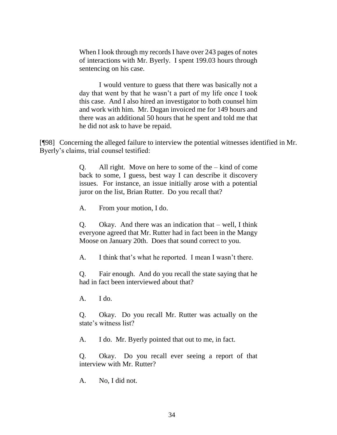When I look through my records I have over 243 pages of notes of interactions with Mr. Byerly. I spent 199.03 hours through sentencing on his case.

I would venture to guess that there was basically not a day that went by that he wasn't a part of my life once I took this case. And I also hired an investigator to both counsel him and work with him. Mr. Dugan invoiced me for 149 hours and there was an additional 50 hours that he spent and told me that he did not ask to have be repaid.

[¶98] Concerning the alleged failure to interview the potential witnesses identified in Mr. Byerly's claims, trial counsel testified:

> Q. All right. Move on here to some of the – kind of come back to some, I guess, best way I can describe it discovery issues. For instance, an issue initially arose with a potential juror on the list, Brian Rutter. Do you recall that?

A. From your motion, I do.

Q. Okay. And there was an indication that – well, I think everyone agreed that Mr. Rutter had in fact been in the Mangy Moose on January 20th. Does that sound correct to you.

A. I think that's what he reported. I mean I wasn't there.

Q. Fair enough. And do you recall the state saying that he had in fact been interviewed about that?

A. I do.

Q. Okay. Do you recall Mr. Rutter was actually on the state's witness list?

A. I do. Mr. Byerly pointed that out to me, in fact.

Q. Okay. Do you recall ever seeing a report of that interview with Mr. Rutter?

A. No, I did not.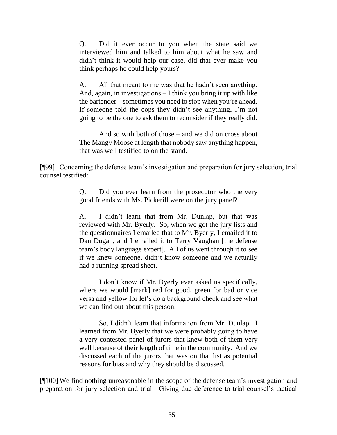Q. Did it ever occur to you when the state said we interviewed him and talked to him about what he saw and didn't think it would help our case, did that ever make you think perhaps he could help yours?

A. All that meant to me was that he hadn't seen anything. And, again, in investigations – I think you bring it up with like the bartender – sometimes you need to stop when you're ahead. If someone told the cops they didn't see anything, I'm not going to be the one to ask them to reconsider if they really did.

And so with both of those – and we did on cross about The Mangy Moose at length that nobody saw anything happen, that was well testified to on the stand.

[¶99] Concerning the defense team's investigation and preparation for jury selection, trial counsel testified:

> Q. Did you ever learn from the prosecutor who the very good friends with Ms. Pickerill were on the jury panel?

> A. I didn't learn that from Mr. Dunlap, but that was reviewed with Mr. Byerly. So, when we got the jury lists and the questionnaires I emailed that to Mr. Byerly, I emailed it to Dan Dugan, and I emailed it to Terry Vaughan [the defense team's body language expert]. All of us went through it to see if we knew someone, didn't know someone and we actually had a running spread sheet.

> I don't know if Mr. Byerly ever asked us specifically, where we would [mark] red for good, green for bad or vice versa and yellow for let's do a background check and see what we can find out about this person.

> So, I didn't learn that information from Mr. Dunlap. I learned from Mr. Byerly that we were probably going to have a very contested panel of jurors that knew both of them very well because of their length of time in the community. And we discussed each of the jurors that was on that list as potential reasons for bias and why they should be discussed.

[¶100]We find nothing unreasonable in the scope of the defense team's investigation and preparation for jury selection and trial. Giving due deference to trial counsel's tactical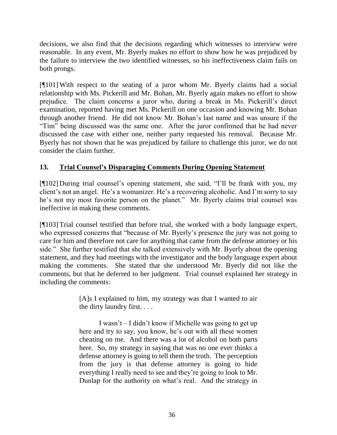decisions, we also find that the decisions regarding which witnesses to interview were reasonable. In any event, Mr. Byerly makes no effort to show how he was prejudiced by the failure to interview the two identified witnesses, so his ineffectiveness claim fails on both prongs.

[¶101]With respect to the seating of a juror whom Mr. Byerly claims had a social relationship with Ms. Pickerill and Mr. Bohan, Mr. Byerly again makes no effort to show prejudice. The claim concerns a juror who, during a break in Ms. Pickerill's direct examination, reported having met Ms. Pickerill on one occasion and knowing Mr. Bohan through another friend. He did not know Mr. Bohan's last name and was unsure if the "Tim" being discussed was the same one. After the juror confirmed that he had never discussed the case with either one, neither party requested his removal. Because Mr. Byerly has not shown that he was prejudiced by failure to challenge this juror, we do not consider the claim further.

### **13. Trial Counsel's Disparaging Comments During Opening Statement**

[¶102] During trial counsel's opening statement, she said, "I'll be frank with you, my client's not an angel. He's a womanizer. He's a recovering alcoholic. And I'm sorry to say he's not my most favorite person on the planet." Mr. Byerly claims trial counsel was ineffective in making these comments.

[¶103]Trial counsel testified that before trial, she worked with a body language expert, who expressed concerns that "because of Mr. Byerly's presence the jury was not going to care for him and therefore not care for anything that came from the defense attorney or his side." She further testified that she talked extensively with Mr. Byerly about the opening statement, and they had meetings with the investigator and the body language expert about making the comments. She stated that she understood Mr. Byerly did not like the comments, but that he deferred to her judgment. Trial counsel explained her strategy in including the comments:

> [A]s I explained to him, my strategy was that I wanted to air the dirty laundry first. . . .

> I wasn't – I didn't know if Michelle was going to get up here and try to say, you know, he's out with all these women cheating on me. And there was a lot of alcohol on both parts here. So, my strategy in saying that was no one ever thinks a defense attorney is going to tell them the truth. The perception from the jury is that defense attorney is going to hide everything I really need to see and they're going to look to Mr. Dunlap for the authority on what's real. And the strategy in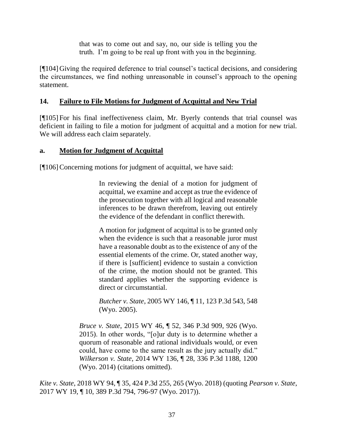that was to come out and say, no, our side is telling you the truth. I'm going to be real up front with you in the beginning.

[¶104] Giving the required deference to trial counsel's tactical decisions, and considering the circumstances, we find nothing unreasonable in counsel's approach to the opening statement.

## **14. Failure to File Motions for Judgment of Acquittal and New Trial**

[¶105] For his final ineffectiveness claim, Mr. Byerly contends that trial counsel was deficient in failing to file a motion for judgment of acquittal and a motion for new trial. We will address each claim separately.

## **a. Motion for Judgment of Acquittal**

[¶106] Concerning motions for judgment of acquittal, we have said:

In reviewing the denial of a motion for judgment of acquittal, we examine and accept as true the evidence of the prosecution together with all logical and reasonable inferences to be drawn therefrom, leaving out entirely the evidence of the defendant in conflict therewith.

A motion for judgment of acquittal is to be granted only when the evidence is such that a reasonable juror must have a reasonable doubt as to the existence of any of the essential elements of the crime. Or, stated another way, if there is [sufficient] evidence to sustain a conviction of the crime, the motion should not be granted. This standard applies whether the supporting evidence is direct or circumstantial.

*Butcher v. State*[, 2005 WY 146, ¶ 11, 123 P.3d 543, 548](http://www.westlaw.com/Link/Document/FullText?findType=Y&serNum=2007723731&pubNum=0004645&originatingDoc=I5a55f4e0a58b11e8a5d58a2c8dcb28b5&refType=RP&fi=co_pp_sp_4645_548&originationContext=document&vr=3.0&rs=cblt1.0&transitionType=DocumentItem&contextData=(sc.Search)#co_pp_sp_4645_548)  [\(Wyo. 2005\).](http://www.westlaw.com/Link/Document/FullText?findType=Y&serNum=2007723731&pubNum=0004645&originatingDoc=I5a55f4e0a58b11e8a5d58a2c8dcb28b5&refType=RP&fi=co_pp_sp_4645_548&originationContext=document&vr=3.0&rs=cblt1.0&transitionType=DocumentItem&contextData=(sc.Search)#co_pp_sp_4645_548)

*Bruce v. State*[, 2015 WY 46, ¶ 52, 346 P.3d 909, 926 \(Wyo.](http://www.westlaw.com/Link/Document/FullText?findType=Y&serNum=2035689949&pubNum=0004645&originatingDoc=I5a55f4e0a58b11e8a5d58a2c8dcb28b5&refType=RP&fi=co_pp_sp_4645_926&originationContext=document&vr=3.0&rs=cblt1.0&transitionType=DocumentItem&contextData=(sc.Search)#co_pp_sp_4645_926)  [2015\).](http://www.westlaw.com/Link/Document/FullText?findType=Y&serNum=2035689949&pubNum=0004645&originatingDoc=I5a55f4e0a58b11e8a5d58a2c8dcb28b5&refType=RP&fi=co_pp_sp_4645_926&originationContext=document&vr=3.0&rs=cblt1.0&transitionType=DocumentItem&contextData=(sc.Search)#co_pp_sp_4645_926) In other words, "[o]ur duty is to determine whether a quorum of reasonable and rational individuals would, or even could, have come to the same result as the jury actually did." *Wilkerson v. State*[, 2014 WY 136, ¶ 28, 336 P.3d 1188, 1200](http://www.westlaw.com/Link/Document/FullText?findType=Y&serNum=2034706333&pubNum=0004645&originatingDoc=I5a55f4e0a58b11e8a5d58a2c8dcb28b5&refType=RP&fi=co_pp_sp_4645_1200&originationContext=document&vr=3.0&rs=cblt1.0&transitionType=DocumentItem&contextData=(sc.Search)#co_pp_sp_4645_1200)  [\(Wyo. 2014\)](http://www.westlaw.com/Link/Document/FullText?findType=Y&serNum=2034706333&pubNum=0004645&originatingDoc=I5a55f4e0a58b11e8a5d58a2c8dcb28b5&refType=RP&fi=co_pp_sp_4645_1200&originationContext=document&vr=3.0&rs=cblt1.0&transitionType=DocumentItem&contextData=(sc.Search)#co_pp_sp_4645_1200) (citations omitted).

*Kite v. State*, 2018 WY 94, ¶ 35, 424 P.3d 255, 265 (Wyo. 2018) (quoting *[Pearson v. State](http://www.westlaw.com/Link/Document/FullText?findType=Y&serNum=2041130664&pubNum=0004645&originatingDoc=I5a55f4e0a58b11e8a5d58a2c8dcb28b5&refType=RP&fi=co_pp_sp_4645_796&originationContext=document&vr=3.0&rs=cblt1.0&transitionType=DocumentItem&contextData=(sc.Search)#co_pp_sp_4645_796)*, [2017 WY 19, ¶ 10, 389 P.3d 794, 796-97 \(Wyo. 2017\)\)](http://www.westlaw.com/Link/Document/FullText?findType=Y&serNum=2041130664&pubNum=0004645&originatingDoc=I5a55f4e0a58b11e8a5d58a2c8dcb28b5&refType=RP&fi=co_pp_sp_4645_796&originationContext=document&vr=3.0&rs=cblt1.0&transitionType=DocumentItem&contextData=(sc.Search)#co_pp_sp_4645_796).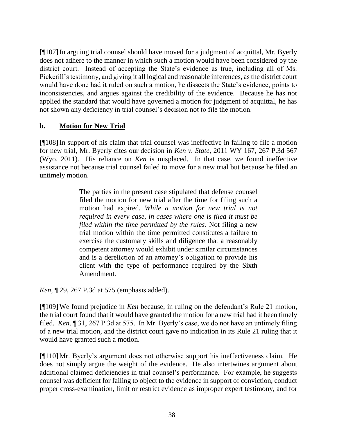[¶107]In arguing trial counsel should have moved for a judgment of acquittal, Mr. Byerly does not adhere to the manner in which such a motion would have been considered by the district court. Instead of accepting the State's evidence as true, including all of Ms. Pickerill's testimony, and giving it all logical and reasonable inferences, as the district court would have done had it ruled on such a motion, he dissects the State's evidence, points to inconsistencies, and argues against the credibility of the evidence. Because he has not applied the standard that would have governed a motion for judgment of acquittal, he has not shown any deficiency in trial counsel's decision not to file the motion.

### **b. Motion for New Trial**

[¶108]In support of his claim that trial counsel was ineffective in failing to file a motion for new trial, Mr. Byerly cites our decision in *Ken v. State*, 2011 WY 167, 267 P.3d 567 (Wyo. 2011). His reliance on *Ken* is misplaced. In that case, we found ineffective assistance not because trial counsel failed to move for a new trial but because he filed an untimely motion.

> The parties in the present case stipulated that defense counsel filed the motion for new trial after the time for filing such a motion had expired. *While a motion for new trial is not required in every case, in cases where one is filed it must be filed within the time permitted by the rules*. Not filing a new trial motion within the time permitted constitutes a failure to exercise the customary skills and diligence that a reasonably competent attorney would exhibit under similar circumstances and is a dereliction of an attorney's obligation to provide his client with the type of performance required by the Sixth Amendment.

*Ken*, ¶ 29, 267 P.3d at 575 (emphasis added).

[¶109]We found prejudice in *Ken* because, in ruling on the defendant's Rule 21 motion, the trial court found that it would have granted the motion for a new trial had it been timely filed. *Ken*, ¶ 31, 267 P.3d at 575. In Mr. Byerly's case, we do not have an untimely filing of a new trial motion, and the district court gave no indication in its Rule 21 ruling that it would have granted such a motion.

[¶110] Mr. Byerly's argument does not otherwise support his ineffectiveness claim. He does not simply argue the weight of the evidence. He also intertwines argument about additional claimed deficiencies in trial counsel's performance. For example, he suggests counsel was deficient for failing to object to the evidence in support of conviction, conduct proper cross-examination, limit or restrict evidence as improper expert testimony, and for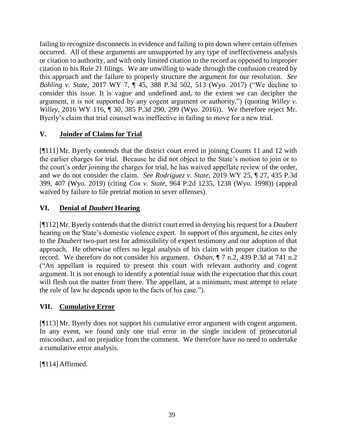failing to recognize disconnects in evidence and failing to pin down where certain offenses occurred. All of these arguments are unsupported by any type of ineffectiveness analysis or citation to authority, and with only limited citation to the record as opposed to improper citation to his Rule 21 filings. We are unwilling to wade through the confusion created by this approach and the failure to properly structure the argument for our resolution. *See Bohling v. State*, 2017 WY 7, ¶ 45, 388 P.3d 502, 513 (Wyo. 2017) ("We decline to consider this issue. It is vague and undefined and, to the extent we can decipher the argument, it is not supported by any cogent argument or authority.") (quoting *[Willey v.](http://www.westlaw.com/Link/Document/FullText?findType=Y&serNum=2040453241&pubNum=0004645&originatingDoc=I6fe95650e38411e6ac07a76176915fee&refType=RP&fi=co_pp_sp_4645_299&originationContext=document&vr=3.0&rs=cblt1.0&transitionType=DocumentItem&contextData=(sc.History*oc.Search)#co_pp_sp_4645_299)  Willey*[, 2016 WY 116, ¶ 30, 385 P.3d 290, 299 \(Wyo. 2016\)\)](http://www.westlaw.com/Link/Document/FullText?findType=Y&serNum=2040453241&pubNum=0004645&originatingDoc=I6fe95650e38411e6ac07a76176915fee&refType=RP&fi=co_pp_sp_4645_299&originationContext=document&vr=3.0&rs=cblt1.0&transitionType=DocumentItem&contextData=(sc.History*oc.Search)#co_pp_sp_4645_299). We therefore reject Mr. Byerly's claim that trial counsel was ineffective in failing to move for a new trial.

## **V. Joinder of Claims for Trial**

[¶111] Mr. Byerly contends that the district court erred in joining Counts 11 and 12 with the earlier charges for trial. Because he did not object to the State's motion to join or to the court's order joining the charges for trial, he has waived appellate review of the order, and we do not consider the claim. *See Rodriguez v. State*, 2019 WY 25, ¶ 27, 435 P.3d 399, 407 (Wyo. 2019) (citing *Cox v. State*[, 964 P.2d 1235, 1238 \(Wyo. 1998\)\)](http://www.westlaw.com/Link/Document/FullText?findType=Y&serNum=1998178918&pubNum=0000661&originatingDoc=Ie4f3db003f9e11e9bb0cd983136a9739&refType=RP&fi=co_pp_sp_661_1238&originationContext=document&vr=3.0&rs=cblt1.0&transitionType=DocumentItem&contextData=(sc.Search)#co_pp_sp_661_1238) (appeal waived by failure to file pretrial motion to sever offenses).

# **VI. Denial of** *Daubert* **Hearing**

[¶112] Mr. Byerly contends that the district court erred in denying his request for a *Daubert* hearing on the State's domestic violence expert. In support of this argument, he cites only to the *Daubert* two-part test for admissibility of expert testimony and our adoption of that approach. He otherwise offers no legal analysis of his claim with proper citation to the record. We therefore do not consider his argument. *Osban*, ¶ 7 n.2, 439 P.3d at 741 n.2 ("An appellant is required to present this court with relevant authority and cogent argument. It is not enough to identify a potential issue with the expectation that this court will flesh out the matter from there. The appellant, at a minimum, must attempt to relate the rule of law he depends upon to the facts of his case.").

# **VII. Cumulative Error**

[¶113] Mr. Byerly does not support his cumulative error argument with cogent argument. In any event, we found only one trial error in the single incident of prosecutorial misconduct, and no prejudice from the comment. We therefore have no need to undertake a cumulative error analysis.

 $[$ [114] Affirmed.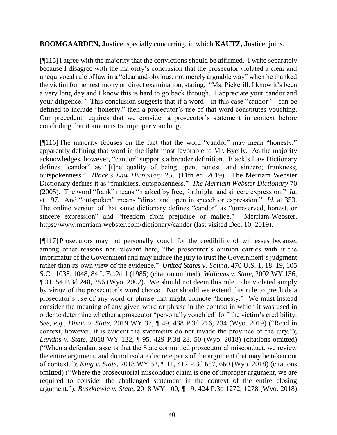#### **BOOMGAARDEN, Justice**, specially concurring, in which **KAUTZ, Justice**, joins.

[¶115]I agree with the majority that the convictions should be affirmed. I write separately because I disagree with the majority's conclusion that the prosecutor violated a clear and unequivocal rule of law in a "clear and obvious, not merely arguable way" when he thanked the victim for her testimony on direct examination, stating: "Ms. Pickerill, I know it's been a very long day and I know this is hard to go back through. I appreciate your candor and your diligence." This conclusion suggests that if a word—in this case "candor"—can be defined to include "honesty," then a prosecutor's use of that word constitutes vouching. Our precedent requires that we consider a prosecutor's statement in context before concluding that it amounts to improper vouching.

[¶116]The majority focuses on the fact that the word "candor" may mean "honesty," apparently defining that word in the light most favorable to Mr. Byerly. As the majority acknowledges, however, "candor" supports a broader definition. Black's Law Dictionary defines "candor" as "[t]he quality of being open, honest, and sincere; frankness; outspokenness*.*" *Black's Law Dictionary* 255 (11th ed. 2019). The Merriam Webster Dictionary defines it as "frankness, outspokenness." *The Merriam Webster Dictionary* 70 (2005). The word "frank" means "marked by free, forthright, and sincere expression." *Id.* at 197. And "outspoken" means "direct and open in speech or expression." *Id.* at 353. The online version of that same dictionary defines "candor" as "unreserved, honest, or sincere expression" and "freedom from prejudice or malice." Merriam-Webster, https://www.merriam-webster.com/dictionary/candor (last visited Dec. 10, 2019).

[¶117] Prosecutors may not personally vouch for the credibility of witnesses because, among other reasons not relevant here, "the prosecutor's opinion carries with it the imprimatur of the Government and may induce the jury to trust the Government's judgment rather than its own view of the evidence." *United States v. Young*, 470 U.S. 1, 18–19, 105 S.Ct. 1038, 1048, 84 L.Ed.2d 1 (1985) (citation omitted); *Williams v. State*, 2002 WY 136, ¶ 31, 54 P.3d 248, 256 (Wyo. 2002). We should not deem this rule to be violated simply by virtue of the prosecutor's word choice. Nor should we extend this rule to preclude a prosecutor's use of any word or phrase that might connote "honesty." We must instead consider the meaning of any given word or phrase in the context in which it was used in order to determine whether a prosecutor "personally vouch[ed] for" the victim's credibility. *See, e.g.*, *Dixon v. State*, 2019 WY 37, ¶ 49, 438 P.3d 216, 234 (Wyo. 2019) ("Read in context, however, it is evident the statements do not invade the province of the jury."); *Larkins v. State*, 2018 WY 122, ¶ 95, 429 P.3d 28, 50 (Wyo. 2018) (citations omitted) ("When a defendant asserts that the State committed prosecutorial misconduct, we review the entire argument, and do not isolate discrete parts of the argument that may be taken out of context."); *King v. State*, 2018 WY 52, ¶ 11, 417 P.3d 657, 660 (Wyo. 2018) (citations omitted) ("Where the prosecutorial misconduct claim is one of improper argument, we are required to consider the challenged statement in the context of the entire closing argument."); *Buszkiewic v. State*, 2018 WY 100, ¶ 19, 424 P.3d 1272, 1278 (Wyo. 2018)